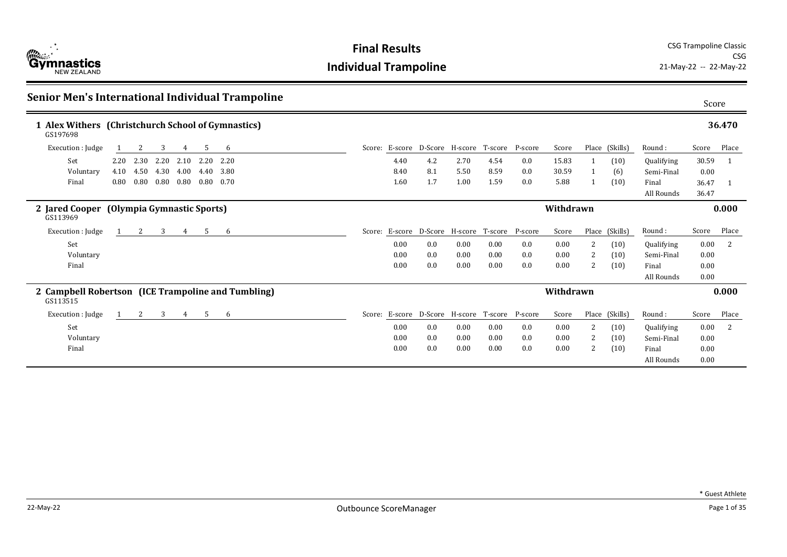

| Senior Men's International Individual Trampoline               |      |      |      |          |      |                   |      |     |                                                |      |     |           |   |                |            | Score |              |
|----------------------------------------------------------------|------|------|------|----------|------|-------------------|------|-----|------------------------------------------------|------|-----|-----------|---|----------------|------------|-------|--------------|
| 1 Alex Withers (Christchurch School of Gymnastics)<br>GS197698 |      |      |      |          |      |                   |      |     |                                                |      |     |           |   |                |            |       | 36.470       |
| Execution : Judge                                              |      | 2    | 3    | 4        | 5    | 6                 |      |     | Score: E-score D-Score H-score T-score P-score |      |     | Score     |   | Place (Skills) | Round:     | Score | Place        |
| Set                                                            | 2.20 | 2.30 | 2.20 | 2.10     |      | 2.20 2.20         | 4.40 | 4.2 | 2.70                                           | 4.54 | 0.0 | 15.83     |   | (10)           | Qualifying | 30.59 | - 1          |
| Voluntary                                                      | 4.10 | 4.50 | 4.30 | 4.00     | 4.40 | 3.80              | 8.40 | 8.1 | 5.50                                           | 8.59 | 0.0 | 30.59     |   | (6)            | Semi-Final | 0.00  |              |
| Final                                                          | 0.80 | 0.80 | 0.80 | $0.80\,$ |      | $0.80 \quad 0.70$ | 1.60 | 1.7 | 1.00                                           | 1.59 | 0.0 | 5.88      |   | (10)           | Final      | 36.47 |              |
|                                                                |      |      |      |          |      |                   |      |     |                                                |      |     |           |   |                | All Rounds | 36.47 |              |
| 2 Jared Cooper (Olympia Gymnastic Sports)<br>GS113969          |      |      |      |          |      |                   |      |     |                                                |      |     | Withdrawn |   |                |            |       | 0.000        |
| Execution : Judge                                              |      | 2    | 3    | 4        | 5    | 6                 |      |     | Score: E-score D-Score H-score T-score P-score |      |     | Score     |   | Place (Skills) | Round:     | Score | Place        |
| Set                                                            |      |      |      |          |      |                   | 0.00 | 0.0 | 0.00                                           | 0.00 | 0.0 | 0.00      | 2 | (10)           | Qualifying | 0.00  | <sup>2</sup> |
| Voluntary                                                      |      |      |      |          |      |                   | 0.00 | 0.0 | 0.00                                           | 0.00 | 0.0 | 0.00      | 2 | (10)           | Semi-Final | 0.00  |              |
| Final                                                          |      |      |      |          |      |                   | 0.00 | 0.0 | 0.00                                           | 0.00 | 0.0 | 0.00      | 2 | (10)           | Final      | 0.00  |              |
|                                                                |      |      |      |          |      |                   |      |     |                                                |      |     |           |   |                | All Rounds | 0.00  |              |
| 2 Campbell Robertson (ICE Trampoline and Tumbling)<br>GS113515 |      |      |      |          |      |                   |      |     |                                                |      |     | Withdrawn |   |                |            |       | 0.000        |
| Execution : Judge                                              |      | 2    | 3    | 4        | 5    | 6                 |      |     | Score: E-score D-Score H-score T-score P-score |      |     | Score     |   | Place (Skills) | Round:     | Score | Place        |
| Set                                                            |      |      |      |          |      |                   | 0.00 | 0.0 | 0.00                                           | 0.00 | 0.0 | 0.00      | 2 | (10)           | Qualifying | 0.00  | 2            |
| Voluntary                                                      |      |      |      |          |      |                   | 0.00 | 0.0 | 0.00                                           | 0.00 | 0.0 | 0.00      | 2 | (10)           | Semi-Final | 0.00  |              |
| Final                                                          |      |      |      |          |      |                   | 0.00 | 0.0 | 0.00                                           | 0.00 | 0.0 | 0.00      | 2 | (10)           | Final      | 0.00  |              |
|                                                                |      |      |      |          |      |                   |      |     |                                                |      |     |           |   |                | All Rounds | 0.00  |              |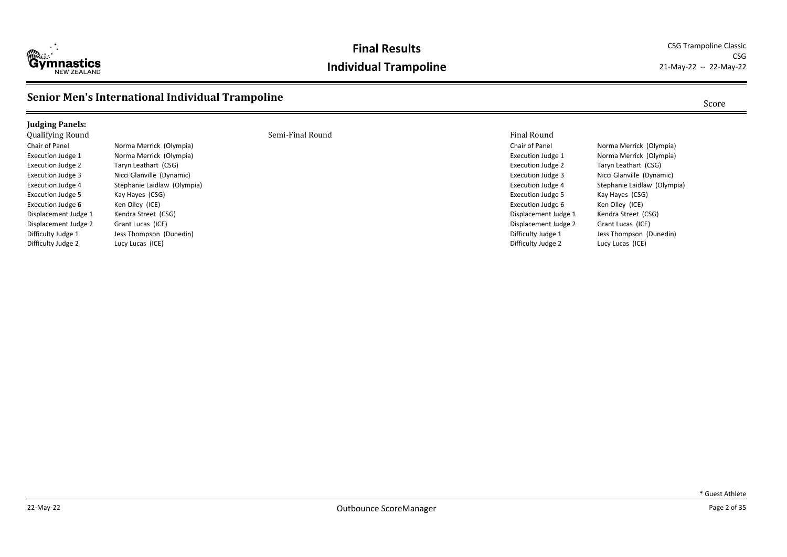

#### **Final Results** CSG Trampoline Classic **Individual Trampoline** 21-May-22 -- 22-May-22

CSG

#### **Senior Men's International Individual Trampoline** Score Score Score Score

#### **Judging Panels:**

Execution Judge 2 Taryn Leathart (CSG) Execution Judge 5 Kay Hayes (CSG) Execution Judge 6 Ken Olley (ICE) Displacement Judge 1 Kendra Street (CSG) Displacement Judge 2 Grant Lucas (ICE) Difficulty Judge 2 Lucy Lucas (ICE)

Chair of Panel **Norma Merrick** (Olympia) Execution Judge 1 Norma Merrick (Olympia) Execution Judge 3 Nicci Glanville (Dynamic) Execution Judge 4 Stephanie Laidlaw (Olympia) Difficulty Judge 1 Jess Thompson (Dunedin)

#### Qualifying Round Semi-Final Round Final Round

Chair of Panel Norma Merrick (Olympia) Execution Judge 1 Norma Merrick (Olympia) Execution Judge 2 Taryn Leathart (CSG) Execution Judge 3 Nicci Glanville (Dynamic) Execution Judge 4 Stephanie Laidlaw (Olympia) Execution Judge 5 Kay Hayes (CSG) Execution Judge 6 Ken Olley (ICE) Displacement Judge 1 Kendra Street (CSG) Displacement Judge 2 Grant Lucas (ICE) Difficulty Judge 1 Jess Thompson (Dunedin) Difficulty Judge 2 Lucy Lucas (ICE)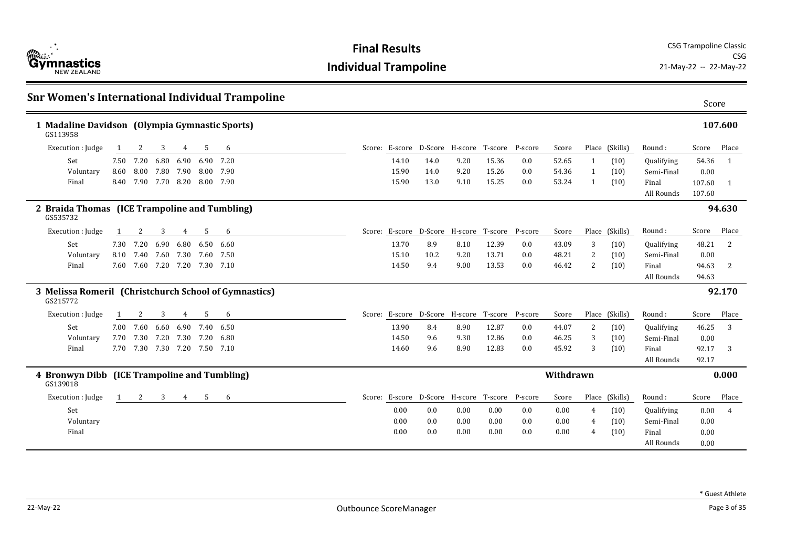

| <b>Snr Women's International Individual Trampoline</b>            |      |                               |                |                |                          |           |  |       |                                                | Score |       |     |           |   |                |                     |                  |                |
|-------------------------------------------------------------------|------|-------------------------------|----------------|----------------|--------------------------|-----------|--|-------|------------------------------------------------|-------|-------|-----|-----------|---|----------------|---------------------|------------------|----------------|
| 1 Madaline Davidson (Olympia Gymnastic Sports)<br>GS113958        |      |                               |                |                |                          |           |  |       |                                                |       |       |     |           |   |                |                     |                  | 107.600        |
| Execution : Judge                                                 |      | 2                             | 3              | 4              | 5                        | 6         |  |       | Score: E-score D-Score H-score T-score P-score |       |       |     | Score     |   | Place (Skills) | Round:              | Score            | Place          |
| Set                                                               |      | 7.50 7.20                     | 6.80           | 6.90           |                          | 6.90 7.20 |  | 14.10 | 14.0                                           | 9.20  | 15.36 | 0.0 | 52.65     | 1 | (10)           | Qualifying          | 54.36            | $\overline{1}$ |
| Voluntary                                                         | 8.60 |                               | 8.00 7.80 7.90 |                |                          | 8.00 7.90 |  | 15.90 | 14.0                                           | 9.20  | 15.26 | 0.0 | 54.36     | 1 | (10)           | Semi-Final          | 0.00             |                |
| Final                                                             | 8.40 |                               |                |                | 7.90 7.70 8.20 8.00 7.90 |           |  | 15.90 | 13.0                                           | 9.10  | 15.25 | 0.0 | 53.24     | 1 | (10)           | Final<br>All Rounds | 107.60<br>107.60 | $\overline{1}$ |
| 2 Braida Thomas (ICE Trampoline and Tumbling)<br>GS535732         |      |                               |                |                |                          |           |  |       |                                                |       |       |     |           |   |                |                     |                  | 94.630         |
| Execution : Judge                                                 |      | 2                             | 3              | 4              | 5                        | 6         |  |       | Score: E-score D-Score H-score T-score P-score |       |       |     | Score     |   | Place (Skills) | Round:              | Score            | Place          |
| Set                                                               | 7.30 | 7.20                          | 6.90           | 6.80           |                          | 6.50 6.60 |  | 13.70 | 8.9                                            | 8.10  | 12.39 | 0.0 | 43.09     | 3 | (10)           | Qualifying          | 48.21            | <sup>2</sup>   |
| Voluntary                                                         | 8.10 | 7.40                          |                |                | 7.60 7.30 7.60 7.50      |           |  | 15.10 | 10.2                                           | 9.20  | 13.71 | 0.0 | 48.21     | 2 | (10)           | Semi-Final          | 0.00             |                |
| Final                                                             |      | 7.60 7.60 7.20 7.20 7.30 7.10 |                |                |                          |           |  | 14.50 | 9.4                                            | 9.00  | 13.53 | 0.0 | 46.42     | 2 | (10)           | Final               | 94.63            | 2              |
|                                                                   |      |                               |                |                |                          |           |  |       |                                                |       |       |     |           |   |                | All Rounds          | 94.63            |                |
| 3 Melissa Romeril (Christchurch School of Gymnastics)<br>GS215772 |      |                               |                |                |                          |           |  |       |                                                |       |       |     |           |   |                |                     |                  | 92.170         |
| Execution : Judge                                                 |      | 2                             | 3              | 4              | 5                        | 6         |  |       | Score: E-score D-Score H-score T-score P-score |       |       |     | Score     |   | Place (Skills) | Round:              | Score            | Place          |
| Set                                                               |      | 7.00 7.60                     |                |                | 6.60 6.90 7.40 6.50      |           |  | 13.90 | 8.4                                            | 8.90  | 12.87 | 0.0 | 44.07     | 2 | (10)           | Qualifying          | 46.25            | 3              |
| Voluntary                                                         | 7.70 |                               |                |                | 7.30 7.20 7.30 7.20 6.80 |           |  | 14.50 | 9.6                                            | 9.30  | 12.86 | 0.0 | 46.25     | 3 | (10)           | Semi-Final          | 0.00             |                |
| Final                                                             |      | 7.70 7.30 7.30 7.20 7.50 7.10 |                |                |                          |           |  | 14.60 | 9.6                                            | 8.90  | 12.83 | 0.0 | 45.92     | 3 | (10)           | Final               | 92.17            | 3              |
|                                                                   |      |                               |                |                |                          |           |  |       |                                                |       |       |     |           |   |                | All Rounds          | 92.17            |                |
| 4 Bronwyn Dibb (ICE Trampoline and Tumbling)<br>GS139018          |      |                               |                |                |                          |           |  |       |                                                |       |       |     | Withdrawn |   |                |                     |                  | 0.000          |
| Execution : Judge                                                 | 1    | 2                             | 3              | $\overline{4}$ | 5                        | 6         |  |       | Score: E-score D-Score H-score T-score P-score |       |       |     | Score     |   | Place (Skills) | Round:              | Score            | Place          |
| Set                                                               |      |                               |                |                |                          |           |  | 0.00  | 0.0                                            | 0.00  | 0.00  | 0.0 | 0.00      | 4 | (10)           | Qualifying          | 0.00             | $\overline{4}$ |
| Voluntary                                                         |      |                               |                |                |                          |           |  | 0.00  | 0.0                                            | 0.00  | 0.00  | 0.0 | 0.00      | 4 | (10)           | Semi-Final          | 0.00             |                |
| Final                                                             |      |                               |                |                |                          |           |  | 0.00  | 0.0                                            | 0.00  | 0.00  | 0.0 | 0.00      | 4 | (10)           | Final               | 0.00             |                |
|                                                                   |      |                               |                |                |                          |           |  |       |                                                |       |       |     |           |   |                | All Rounds          | 0.00             |                |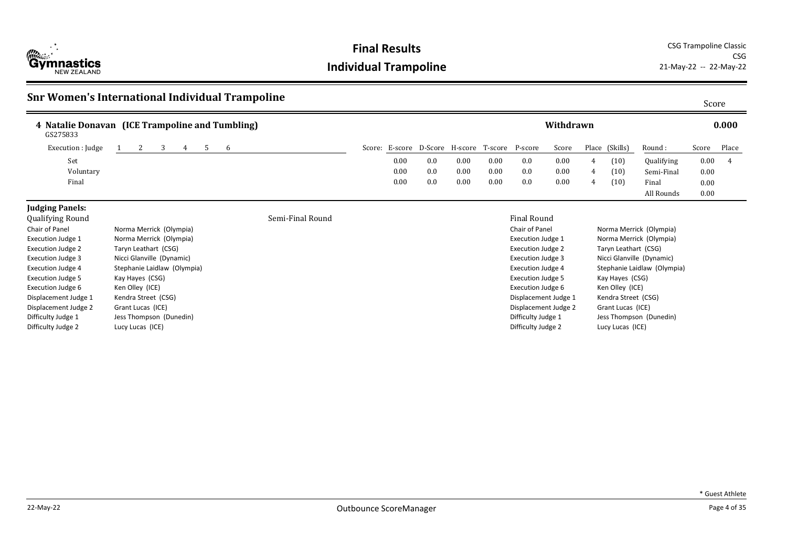

**Final Results** CSG Trampoline Classic CSG<br>21-May-22 -- 22-May-22

#### **Snr Women's International Individual Trampoline** Score Score Score Score Score

| GS275833          | 4 Natalie Donavan (ICE Trampoline and Tumbling) |  |  |  |  |              |  |      |                                        |      |      |         | Withdrawn |       |          |            |       | 0.000 |
|-------------------|-------------------------------------------------|--|--|--|--|--------------|--|------|----------------------------------------|------|------|---------|-----------|-------|----------|------------|-------|-------|
| Execution : Judge |                                                 |  |  |  |  | <sub>t</sub> |  |      | Score: E-score D-Score H-score T-score |      |      | P-score | Score     | Place | (Skills) | Round:     | Score | Place |
| Set               |                                                 |  |  |  |  |              |  | 0.00 | 0.0                                    | 0.00 | 0.00 | 0.0     | 0.00      | 4     | (10)     | Qualifying | 0.00  |       |
| Voluntary         |                                                 |  |  |  |  |              |  | 0.00 | 0.0                                    | 0.00 | 0.00 | 0.0     | 0.00      | 4     | (10)     | Semi-Final | 0.00  |       |
| Final             |                                                 |  |  |  |  |              |  | 0.00 | 0.0                                    | 0.00 | 0.00 | 0.0     | 0.00      | 4     | (10)     | Final      | 0.00  |       |
|                   |                                                 |  |  |  |  |              |  |      |                                        |      |      |         |           |       |          | All Rounds | 0.00  |       |

#### **Judging Panels:**

| Qualifying Round         |                             | Semi-Final Round | <b>Final Round</b>    |
|--------------------------|-----------------------------|------------------|-----------------------|
| Chair of Panel           | Norma Merrick (Olympia)     |                  | Chair of Panel        |
| Execution Judge 1        | Norma Merrick (Olympia)     |                  | <b>Execution Judg</b> |
| Execution Judge 2        | Taryn Leathart (CSG)        |                  | <b>Execution Judg</b> |
| Execution Judge 3        | Nicci Glanville (Dynamic)   |                  | <b>Execution Judg</b> |
| Execution Judge 4        | Stephanie Laidlaw (Olympia) |                  | <b>Execution Judg</b> |
| <b>Execution Judge 5</b> | Kay Hayes (CSG)             |                  | <b>Execution Judg</b> |
| Execution Judge 6        | Ken Olley (ICE)             |                  | <b>Execution Judg</b> |
| Displacement Judge 1     | Kendra Street (CSG)         |                  | Displacement.         |
| Displacement Judge 2     | Grant Lucas (ICE)           |                  | Displacement.         |
| Difficulty Judge 1       | Jess Thompson (Dunedin)     |                  | Difficulty Judge      |
| Difficulty Judge 2       | Lucy Lucas (ICE)            |                  | Difficulty Judge      |

| Chair of Panel           | Norma Merrick (Olympia)     |
|--------------------------|-----------------------------|
| <b>Execution Judge 1</b> | Norma Merrick (Olympia)     |
| <b>Execution Judge 2</b> | Taryn Leathart (CSG)        |
| <b>Execution Judge 3</b> | Nicci Glanville (Dynamic)   |
| <b>Execution Judge 4</b> | Stephanie Laidlaw (Olympia) |
| <b>Execution Judge 5</b> | Kay Hayes (CSG)             |
| <b>Execution Judge 6</b> | Ken Olley (ICE)             |
| Displacement Judge 1     | Kendra Street (CSG)         |
| Displacement Judge 2     | Grant Lucas (ICE)           |
| Difficulty Judge 1       | Jess Thompson (Dunedin)     |
| Difficulty Judge 2       | Lucy Lucas (ICE)            |
|                          |                             |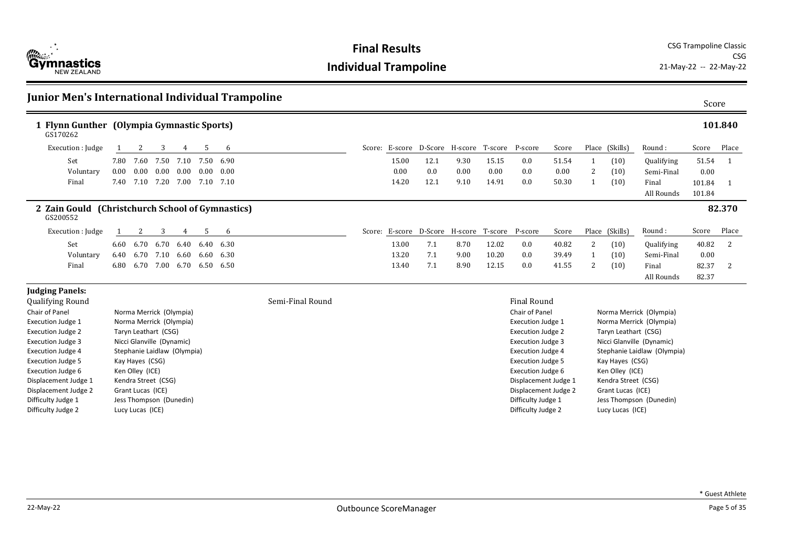

| Junior Men's International Individual Trampoline             |                     |                             |      |                   |                          |                   |                  |       |      |                                                |                      |                          |       |                     |                      |                             | Score  |         |
|--------------------------------------------------------------|---------------------|-----------------------------|------|-------------------|--------------------------|-------------------|------------------|-------|------|------------------------------------------------|----------------------|--------------------------|-------|---------------------|----------------------|-----------------------------|--------|---------|
| 1 Flynn Gunther (Olympia Gymnastic Sports)<br>GS170262       |                     |                             |      |                   |                          |                   |                  |       |      |                                                |                      |                          |       |                     |                      |                             |        | 101.840 |
| Execution : Judge                                            |                     | 2                           | 3    | 4                 | 5                        | 6                 |                  |       |      | Score: E-score D-Score H-score T-score P-score |                      |                          | Score |                     | Place (Skills)       | Round:                      | Score  | Place   |
| Set                                                          | 7.80                | 7.60                        | 7.50 | 7.10              |                          | 7.50 6.90         |                  | 15.00 | 12.1 | 9.30                                           | 15.15                | 0.0                      | 51.54 | 1                   | (10)                 | Qualifying                  | 51.54  | -1      |
| Voluntary                                                    | 0.00                | 0.00                        |      | $0.00 \quad 0.00$ |                          | $0.00 \quad 0.00$ |                  | 0.00  | 0.0  | 0.00                                           | 0.00                 | 0.0                      | 0.00  | 2                   | (10)                 | Semi-Final                  | 0.00   |         |
| Final                                                        | 7.40                |                             |      |                   | 7.10 7.20 7.00 7.10 7.10 |                   |                  | 14.20 | 12.1 | 9.10                                           | 14.91                | 0.0                      | 50.30 |                     | (10)                 | Final                       | 101.84 | -1      |
|                                                              |                     |                             |      |                   |                          |                   |                  |       |      |                                                |                      |                          |       |                     |                      | All Rounds                  | 101.84 |         |
| 2 Zain Gould (Christchurch School of Gymnastics)<br>GS200552 |                     |                             |      |                   |                          |                   |                  |       |      |                                                |                      |                          |       |                     |                      |                             |        | 82.370  |
| Execution : Judge                                            |                     | 2                           | 3    | 4                 | 5                        | 6                 |                  |       |      | Score: E-score D-Score H-score T-score P-score |                      |                          | Score |                     | Place (Skills)       | Round:                      | Score  | Place   |
| Set                                                          |                     | 6.60 6.70                   |      | 6.70 6.40         |                          | 6.40 6.30         |                  | 13.00 | 7.1  | 8.70                                           | 12.02                | 0.0                      | 40.82 | 2                   | (10)                 | Qualifying                  | 40.82  | -2      |
| Voluntary                                                    | 6.40                | 6.70                        | 7.10 | 6.60              |                          | 6.60 6.30         |                  | 13.20 | 7.1  | 9.00                                           | 10.20                | 0.0                      | 39.49 | 1                   | (10)                 | Semi-Final                  | 0.00   |         |
| Final                                                        | 6.80                | 6.70                        | 7.00 | 6.70              |                          | 6.50 6.50         |                  | 13.40 | 7.1  | 8.90                                           | 12.15                | 0.0                      | 41.55 | 2                   | (10)                 | Final                       | 82.37  | 2       |
|                                                              |                     |                             |      |                   |                          |                   |                  |       |      |                                                |                      |                          |       |                     |                      | All Rounds                  | 82.37  |         |
| <b>Judging Panels:</b>                                       |                     |                             |      |                   |                          |                   |                  |       |      |                                                |                      |                          |       |                     |                      |                             |        |         |
| <b>Qualifying Round</b>                                      |                     |                             |      |                   |                          |                   | Semi-Final Round |       |      |                                                |                      | <b>Final Round</b>       |       |                     |                      |                             |        |         |
| Chair of Panel                                               |                     | Norma Merrick (Olympia)     |      |                   |                          |                   |                  |       |      |                                                |                      | Chair of Panel           |       |                     |                      | Norma Merrick (Olympia)     |        |         |
| <b>Execution Judge 1</b>                                     |                     | Norma Merrick (Olympia)     |      |                   |                          |                   |                  |       |      |                                                |                      | <b>Execution Judge 1</b> |       |                     |                      | Norma Merrick (Olympia)     |        |         |
| <b>Execution Judge 2</b>                                     |                     | Taryn Leathart (CSG)        |      |                   |                          |                   |                  |       |      |                                                |                      | <b>Execution Judge 2</b> |       |                     | Taryn Leathart (CSG) |                             |        |         |
| <b>Execution Judge 3</b>                                     |                     | Nicci Glanville (Dynamic)   |      |                   |                          |                   |                  |       |      |                                                |                      | <b>Execution Judge 3</b> |       |                     |                      | Nicci Glanville (Dynamic)   |        |         |
| <b>Execution Judge 4</b>                                     |                     | Stephanie Laidlaw (Olympia) |      |                   |                          |                   |                  |       |      |                                                |                      | <b>Execution Judge 4</b> |       |                     |                      | Stephanie Laidlaw (Olympia) |        |         |
| <b>Execution Judge 5</b>                                     | Kay Hayes (CSG)     |                             |      |                   |                          |                   |                  |       |      |                                                |                      | <b>Execution Judge 5</b> |       |                     | Kay Hayes (CSG)      |                             |        |         |
| Execution Judge 6                                            | Ken Olley (ICE)     |                             |      |                   |                          |                   |                  |       |      |                                                |                      | Execution Judge 6        |       |                     | Ken Olley (ICE)      |                             |        |         |
| Displacement Judge 1                                         | Kendra Street (CSG) |                             |      |                   |                          |                   |                  |       |      |                                                | Displacement Judge 1 |                          |       | Kendra Street (CSG) |                      |                             |        |         |
| Displacement Judge 2                                         | Grant Lucas (ICE)   |                             |      |                   |                          |                   |                  |       |      |                                                | Displacement Judge 2 |                          |       | Grant Lucas (ICE)   |                      |                             |        |         |
| Difficulty Judge 1                                           |                     | Jess Thompson (Dunedin)     |      |                   |                          |                   |                  |       |      |                                                |                      | Difficulty Judge 1       |       |                     |                      | Jess Thompson (Dunedin)     |        |         |
| Difficulty Judge 2                                           |                     | Lucy Lucas (ICE)            |      |                   |                          |                   |                  |       |      |                                                |                      | Difficulty Judge 2       |       |                     | Lucy Lucas (ICE)     |                             |        |         |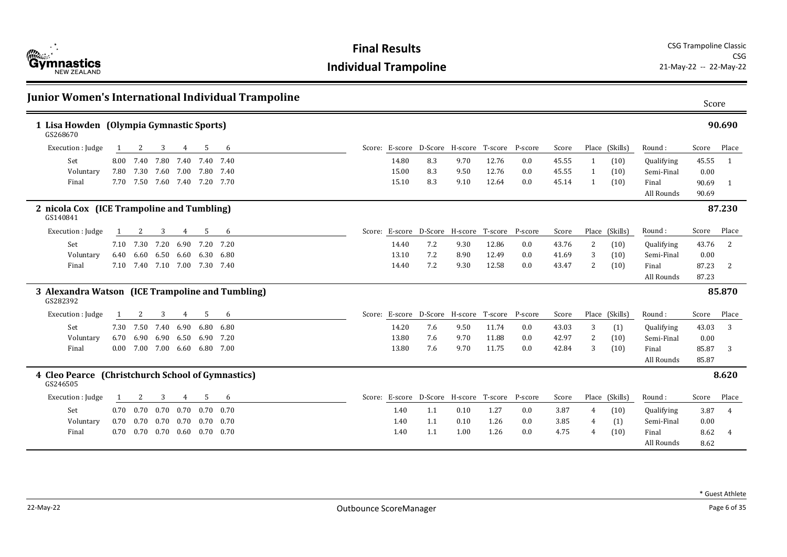

|                                                               |      |                               |      |      |                      | Junior Women's International Individual Trampoline |       |     |                                                |       |         |       |                |                |                     | Score          |                |
|---------------------------------------------------------------|------|-------------------------------|------|------|----------------------|----------------------------------------------------|-------|-----|------------------------------------------------|-------|---------|-------|----------------|----------------|---------------------|----------------|----------------|
| 1 Lisa Howden (Olympia Gymnastic Sports)<br>GS268670          |      |                               |      |      |                      |                                                    |       |     |                                                |       |         |       |                |                |                     |                | 90.690         |
| Execution : Judge                                             |      | 2                             | 3    | 4    | 5                    | 6                                                  |       |     | Score: E-score D-Score H-score T-score P-score |       |         | Score |                | Place (Skills) | Round:              | Score          | Place          |
| Set                                                           | 8.00 | 7.40                          | 7.80 |      | 7.40 7.40 7.40       |                                                    | 14.80 | 8.3 | 9.70                                           | 12.76 | 0.0     | 45.55 | -1             | (10)           | Qualifying          | 45.55          | $\overline{1}$ |
| Voluntary                                                     |      | 7.80 7.30 7.60 7.00 7.80 7.40 |      |      |                      |                                                    | 15.00 | 8.3 | 9.50                                           | 12.76 | 0.0     | 45.55 | -1             | (10)           | Semi-Final          | 0.00           |                |
| Final                                                         |      | 7.70 7.50 7.60 7.40 7.20 7.70 |      |      |                      |                                                    | 15.10 | 8.3 | 9.10                                           | 12.64 | 0.0     | 45.14 | -1             | (10)           | Final<br>All Rounds | 90.69<br>90.69 | -1             |
| 2 nicola Cox (ICE Trampoline and Tumbling)<br>GS140841        |      |                               |      |      |                      |                                                    |       |     |                                                |       |         |       |                |                |                     |                | 87.230         |
| Execution : Judge                                             |      | 2                             | 3    | 4    | 5                    | 6                                                  |       |     | Score: E-score D-Score H-score T-score         |       | P-score | Score |                | Place (Skills) | Round:              | Score          | Place          |
| Set                                                           |      | 7.10 7.30                     | 7.20 |      | 6.90 7.20 7.20       |                                                    | 14.40 | 7.2 | 9.30                                           | 12.86 | 0.0     | 43.76 | $\overline{2}$ | (10)           | Qualifying          | 43.76          | 2              |
| Voluntary                                                     | 6.40 | 6.60                          | 6.50 |      | 6.60 6.30 6.80       |                                                    | 13.10 | 7.2 | 8.90                                           | 12.49 | 0.0     | 41.69 | 3              | (10)           | Semi-Final          | 0.00           |                |
| Final                                                         | 7.10 | 7.40 7.10 7.00 7.30 7.40      |      |      |                      |                                                    | 14.40 | 7.2 | 9.30                                           | 12.58 | 0.0     | 43.47 | 2              | (10)           | Final               | 87.23          | 2              |
|                                                               |      |                               |      |      |                      |                                                    |       |     |                                                |       |         |       |                |                | All Rounds          | 87.23          |                |
| 3 Alexandra Watson (ICE Trampoline and Tumbling)<br>GS282392  |      |                               |      |      |                      |                                                    |       |     |                                                |       |         |       |                |                |                     |                | 85.870         |
| Execution : Judge                                             |      | 2                             | 3    | 4    | -5                   | 6                                                  |       |     | Score: E-score D-Score H-score T-score P-score |       |         | Score |                | Place (Skills) | Round:              | Score          | Place          |
| Set                                                           |      | 7.30 7.50                     | 7.40 | 6.90 | 6.80 6.80            |                                                    | 14.20 | 7.6 | 9.50                                           | 11.74 | 0.0     | 43.03 | 3              | (1)            | Qualifying          | 43.03          | 3              |
| Voluntary                                                     | 6.70 | 6.90                          | 6.90 | 6.50 |                      | 6.90 7.20                                          | 13.80 | 7.6 | 9.70                                           | 11.88 | 0.0     | 42.97 | 2              | (10)           | Semi-Final          | 0.00           |                |
| Final                                                         | 0.00 | 7.00 7.00 6.60 6.80 7.00      |      |      |                      |                                                    | 13.80 | 7.6 | 9.70                                           | 11.75 | 0.0     | 42.84 | 3              | (10)           | Final               | 85.87          | 3              |
|                                                               |      |                               |      |      |                      |                                                    |       |     |                                                |       |         |       |                |                | All Rounds          | 85.87          |                |
| 4 Cleo Pearce (Christchurch School of Gymnastics)<br>GS246505 |      |                               |      |      |                      |                                                    |       |     |                                                |       |         |       |                |                |                     |                | 8.620          |
| Execution : Judge                                             |      | 2                             | 3    | 4    | 5                    | 6                                                  |       |     | Score: E-score D-Score H-score T-score         |       | P-score | Score |                | Place (Skills) | Round:              | Score          | Place          |
| Set                                                           | 0.70 | 0.70                          | 0.70 | 0.70 |                      | $0.70 \quad 0.70$                                  | 1.40  | 1.1 | 0.10                                           | 1.27  | 0.0     | 3.87  | 4              | (10)           | Qualifying          | 3.87           | $\overline{4}$ |
| Voluntary                                                     | 0.70 | 0.70                          | 0.70 |      | $0.70$ $0.70$ $0.70$ |                                                    | 1.40  | 1.1 | 0.10                                           | 1.26  | 0.0     | 3.85  | $\overline{4}$ | (1)            | Semi-Final          | 0.00           |                |
| Final                                                         | 0.70 | 0.70  0.70  0.60  0.70  0.70  |      |      |                      |                                                    | 1.40  | 1.1 | 1.00                                           | 1.26  | 0.0     | 4.75  | 4              | (10)           | Final               | 8.62           | $\overline{4}$ |
|                                                               |      |                               |      |      |                      |                                                    |       |     |                                                |       |         |       |                |                | All Rounds          | 8.62           |                |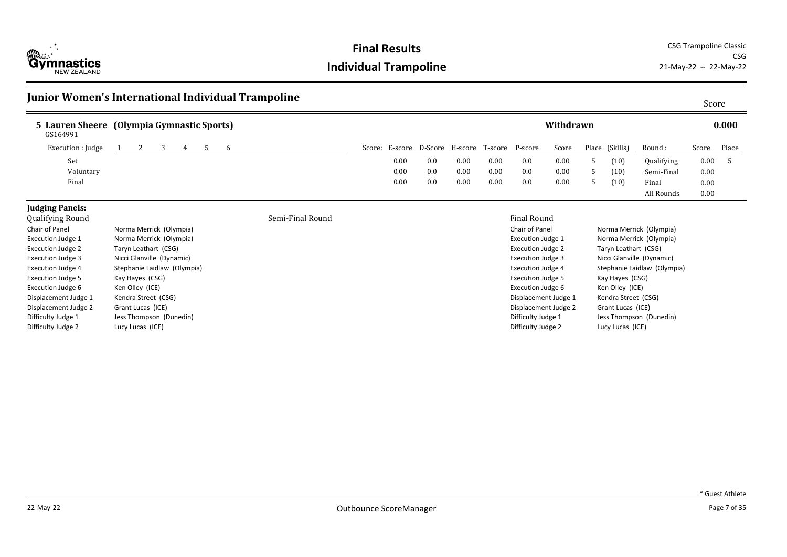

**Final Results** CSG Trampoline Classic CSG<br>21-May-22 -- 22-May-22

#### **Junior Women's International Individual Trampoline** Score Score Score Score Score

| 5 Lauren Sheere (Olympia Gymnastic Sports)<br>GS164991 |  |  |  |      |                                        |          |      |         | Withdrawn |                |                   |       | 0.000 |
|--------------------------------------------------------|--|--|--|------|----------------------------------------|----------|------|---------|-----------|----------------|-------------------|-------|-------|
| Execution : Judge                                      |  |  |  |      | Score: E-score D-Score H-score T-score |          |      | P-score | Score     | Place (Skills) | Round :           | Score | Place |
| Set                                                    |  |  |  | 0.00 | 0.0                                    | $0.00\,$ | 0.00 | 0.0     | 0.00      | (10)           | <b>Qualifying</b> | 0.00  |       |
| Voluntary                                              |  |  |  | 0.00 | 0.0                                    | $0.00\,$ | 0.00 | 0.0     | 0.00      | (10)           | Semi-Final        | 0.00  |       |
| Final                                                  |  |  |  | 0.00 | 0.0                                    | $0.00\,$ | 0.00 | 0.0     | 0.00      | (10)           | Final             | 0.00  |       |
|                                                        |  |  |  |      |                                        |          |      |         |           |                | All Rounds        | 0.00  |       |

#### **Judging Panels:**

| Qualitying Kounu         |                             |
|--------------------------|-----------------------------|
| Chair of Panel           | Norma Merrick (Olympia)     |
| <b>Execution Judge 1</b> | Norma Merrick (Olympia)     |
| <b>Execution Judge 2</b> | Taryn Leathart (CSG)        |
| <b>Execution Judge 3</b> | Nicci Glanville (Dynamic)   |
| <b>Execution Judge 4</b> | Stephanie Laidlaw (Olympia) |
| <b>Execution Judge 5</b> | Kay Hayes (CSG)             |
| <b>Execution Judge 6</b> | Ken Olley (ICE)             |
| Displacement Judge 1     | Kendra Street (CSG)         |
| Displacement Judge 2     | Grant Lucas (ICE)           |
| Difficulty Judge 1       | Jess Thompson (Dunedin)     |
| Difficulty Judge 2       | Lucy Lucas (ICE)            |

#### ed a semi-Final Round Final Round Semi-Final Round Semi-Final Round Final Round Final Round

| Chair of Panel           | Norma Merrick (Olympia)     |
|--------------------------|-----------------------------|
| <b>Execution Judge 1</b> | Norma Merrick (Olympia)     |
| <b>Execution Judge 2</b> | Taryn Leathart (CSG)        |
| <b>Execution Judge 3</b> | Nicci Glanville (Dynamic)   |
| <b>Execution Judge 4</b> | Stephanie Laidlaw (Olympia) |
| <b>Execution Judge 5</b> | Kay Hayes (CSG)             |
| <b>Execution Judge 6</b> | Ken Olley (ICE)             |
| Displacement Judge 1     | Kendra Street (CSG)         |
| Displacement Judge 2     | Grant Lucas (ICE)           |
| Difficulty Judge 1       | Jess Thompson (Dunedin)     |
| Difficulty Judge 2       | Lucy Lucas (ICE)            |
|                          |                             |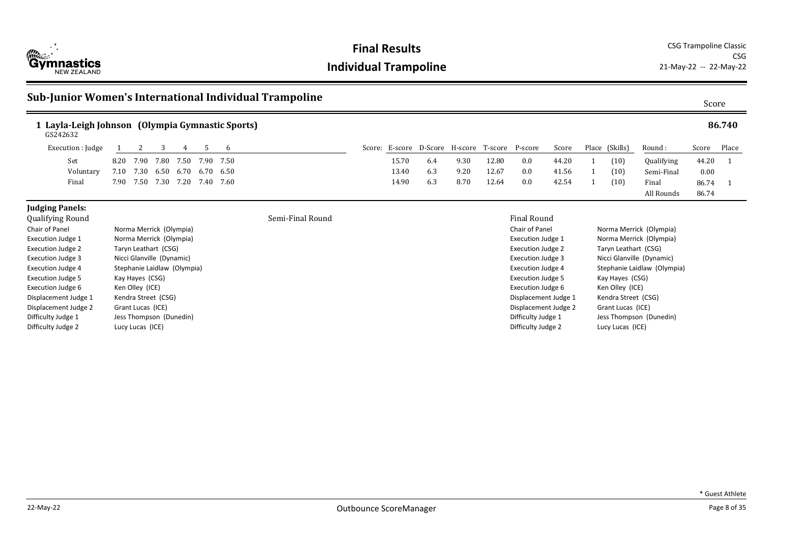

**Final Results** CSG Trampoline Classic CSG<br>21-May-22 -- 22-May-22

#### Sub-Junior Women's International Individual Trampoline **Sub-Sub-Sub-Sub-Sub-Sub-Sub-Sub-Sub-Super** Score

| 1 Layla-Leigh Johnson (Olympia Gymnastic Sports)<br>GS242632 |                |                               |           |                  |       |                                                |      |       |             |       |                |            |          | 86.740 |
|--------------------------------------------------------------|----------------|-------------------------------|-----------|------------------|-------|------------------------------------------------|------|-------|-------------|-------|----------------|------------|----------|--------|
| Execution : Judge                                            |                | 4                             | . რ       |                  |       | Score: E-score D-Score H-score T-score P-score |      |       |             | Score | Place (Skills) | Round :    | Score    | Place  |
| Set                                                          |                | 8.20 7.90 7.80 7.50 7.90 7.50 |           |                  | 15.70 | 6.4                                            | 9.30 | 12.80 | 0.0         | 44.20 | (10)           | Qualifying | 44.20    |        |
| Voluntary                                                    |                | 7.10 7.30 6.50 6.70 6.70 6.50 |           |                  | 13.40 | 6.3                                            | 9.20 | 12.67 | 0.0         | 41.56 | (10)           | Semi-Final | $0.00\,$ |        |
| Final                                                        | 7.90 7.50 7.30 | 7.20                          | 7.40 7.60 |                  | 14.90 | 6.3                                            | 8.70 | 12.64 | 0.0         | 42.54 | (10)           | Final      | 86.74    |        |
|                                                              |                |                               |           |                  |       |                                                |      |       |             |       |                | All Rounds | 86.74    |        |
| <b>Judging Panels:</b>                                       |                |                               |           |                  |       |                                                |      |       |             |       |                |            |          |        |
| Qualifying Round                                             |                |                               |           | Semi-Final Round |       |                                                |      |       | Final Round |       |                |            |          |        |

| Norma Merrick (Olympia)     |
|-----------------------------|
| Norma Merrick (Olympia)     |
| Taryn Leathart (CSG)        |
| Nicci Glanville (Dynamic)   |
| Stephanie Laidlaw (Olympia) |
| Kay Hayes (CSG)             |
| Ken Olley (ICE)             |
| Kendra Street (CSG)         |
| Grant Lucas (ICE)           |
| Jess Thompson (Dunedin)     |
| Lucy Lucas (ICE)            |
|                             |

#### Chair of Panel Norma Merrick (Olympia) Execution Judge 1 Norma Merrick (Olympia) Execution Judge 2 Taryn Leathart (CSG)<br>Execution Judge 3 Nicci Glanville (Dynar Nicci Glanville (Dynamic) Execution Judge 4 Stephanie Laidlaw (Olympia) Execution Judge 5 Kay Hayes (CSG) Execution Judge 6 Ken Olley (ICE) Displacement Judge 1 Kendra Street (CSG) Displacement Judge 2 Grant Lucas (ICE) Difficulty Judge 1 Jess Thompson (Dunedin) Difficulty Judge 2 Lucy Lucas (ICE)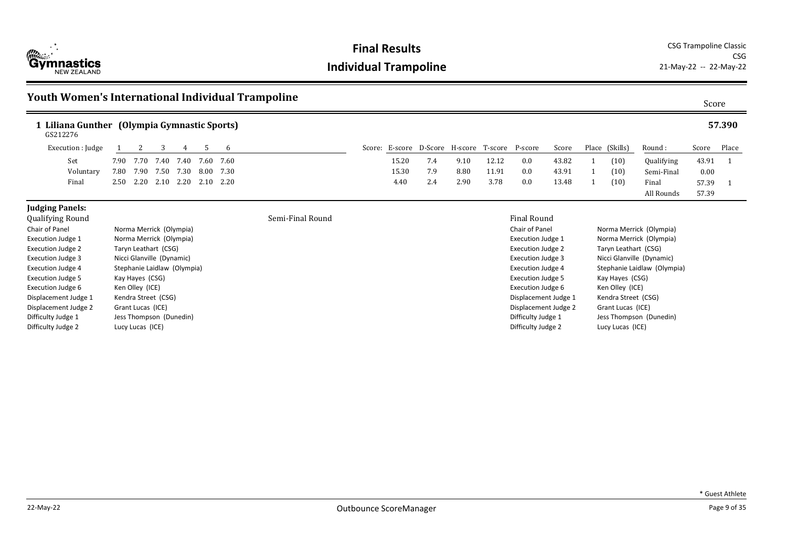

Displacement Judge 2 Grant Lucas (ICE) Difficulty Judge 1 Jess Thompson (Dunedin) Difficulty Judge 2 Lucy Lucas (ICE)

#### **Individual Trampoline** 21-May-22 -- 22-May-22

**Final Results** CSG Trampoline Classic CSG

> Displacement Judge 2 Grant Lucas (ICE) Difficulty Judge 1 Jess Thompson (Dunedin) Difficulty Judge 2 Lucy Lucas (ICE)

#### **Youth Women's International Individual Trampoline** Score Score Score Score Score **1 Liliana Gunther (Olympia Gymnastic Sports) 57.390** Round : Qualifying Semi-Final Final All Rounds Score Place 43.91 1 0.00 57.39 1 GS212276 57.39 Execution : Judge 1 2 3 4 5 6 Score: E-score D-Score H-score T-score P-score Score Place (Skills) Set 7.90 7.70 7.40 7.40 7.60 7.60 15.20 7.4 9.10 12.12 0.0 43.82 1 (10) Voluntary 7.80 7.90 7.50 7.30 8.00 7.30 15.30 7.9 8.80 11.91 0.0 43.91 1 (10) Final 2.50 2.20 2.10 2.20 2.10 2.20 4.40 2.4 2.90 3.78 0.0 13.48 1 (10) **Judging Panels:** Qualifying Round Semi-Final Round Final Round Chair of Panel **Norma Merrick** (Olympia) Execution Judge 1 Norma Merrick (Olympia) Execution Judge 2 Taryn Leathart (CSG) Execution Judge 3 Nicci Glanville (Dynamic) Execution Judge 4 Stephanie Laidlaw (Olympia) Execution Judge 5 Kay Hayes (CSG) Execution Judge 6 Ken Olley (ICE) Displacement Judge 1 Kendra Street (CSG) Chair of Panel Norma Merrick (Olympia) Execution Judge 1 Norma Merrick (Olympia) Execution Judge 2 Taryn Leathart (CSG) Execution Judge 3 Nicci Glanville (Dynamic) Execution Judge 4 Stephanie Laidlaw (Olympia) Execution Judge 5 Kay Hayes (CSG) Execution Judge 6 Ken Olley (ICE) Displacement Judge 1 Kendra Street (CSG)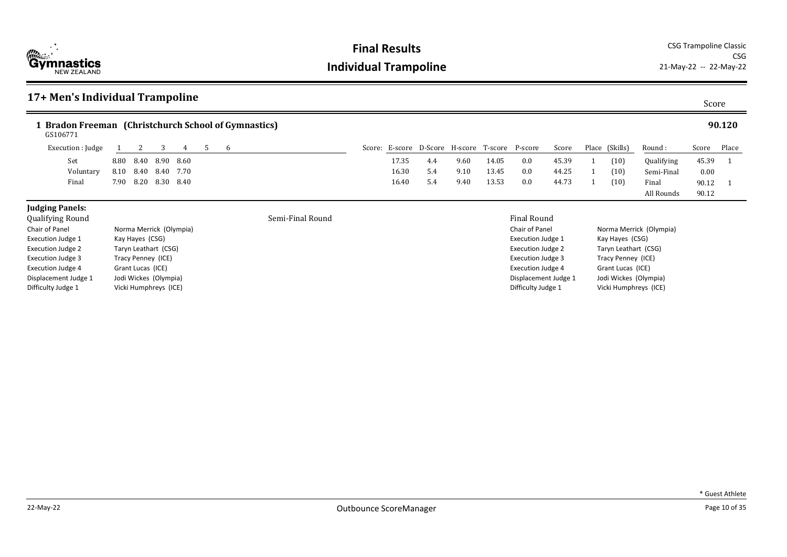

| 17+ Men's Individual Trampoline                                  |      |                   |                         |      |    |   |                  |        |       |     |                                         |       |                          |       |                      |                         | Score |        |
|------------------------------------------------------------------|------|-------------------|-------------------------|------|----|---|------------------|--------|-------|-----|-----------------------------------------|-------|--------------------------|-------|----------------------|-------------------------|-------|--------|
| 1 Bradon Freeman (Christchurch School of Gymnastics)<br>GS106771 |      |                   |                         |      |    |   |                  |        |       |     |                                         |       |                          |       |                      |                         |       | 90.120 |
| Execution : Judge                                                |      |                   | 3                       | 4    | -5 | 6 |                  | Score: |       |     | E-score D-Score H-score T-score P-score |       |                          | Score | Place (Skills)       | Round:                  | Score | Place  |
| Set                                                              | 8.80 | 8.40              | 8.90                    | 8.60 |    |   |                  |        | 17.35 | 4.4 | 9.60                                    | 14.05 | 0.0                      | 45.39 | (10)                 | Qualifying              | 45.39 |        |
| Voluntary                                                        | 8.10 | 8.40              | 8.40                    | 7.70 |    |   |                  |        | 16.30 | 5.4 | 9.10                                    | 13.45 | 0.0                      | 44.25 | (10)                 | Semi-Final              | 0.00  |        |
| Final                                                            | 7.90 | 8.20              | 8.30                    | 8.40 |    |   |                  |        | 16.40 | 5.4 | 9.40                                    | 13.53 | 0.0                      | 44.73 | (10)                 | Final                   | 90.12 |        |
|                                                                  |      |                   |                         |      |    |   |                  |        |       |     |                                         |       |                          |       |                      | All Rounds              | 90.12 |        |
| <b>Judging Panels:</b>                                           |      |                   |                         |      |    |   |                  |        |       |     |                                         |       |                          |       |                      |                         |       |        |
| <b>Qualifying Round</b>                                          |      |                   |                         |      |    |   | Semi-Final Round |        |       |     |                                         |       | <b>Final Round</b>       |       |                      |                         |       |        |
| Chair of Panel                                                   |      |                   | Norma Merrick (Olympia) |      |    |   |                  |        |       |     |                                         |       | Chair of Panel           |       |                      | Norma Merrick (Olympia) |       |        |
| <b>Execution Judge 1</b>                                         |      | Kay Hayes (CSG)   |                         |      |    |   |                  |        |       |     |                                         |       | Execution Judge 1        |       | Kay Hayes (CSG)      |                         |       |        |
| Execution Judge 2                                                |      |                   | Taryn Leathart (CSG)    |      |    |   |                  |        |       |     |                                         |       | Execution Judge 2        |       | Taryn Leathart (CSG) |                         |       |        |
| <b>Execution Judge 3</b>                                         |      |                   | Tracy Penney (ICE)      |      |    |   |                  |        |       |     |                                         |       | <b>Execution Judge 3</b> |       | Tracy Penney (ICE)   |                         |       |        |
| Execution Judge 4                                                |      | Grant Lucas (ICE) |                         |      |    |   |                  |        |       |     |                                         |       | Execution Judge 4        |       | Grant Lucas (ICE)    |                         |       |        |
| Displacement Judge 1                                             |      |                   | Jodi Wickes (Olympia)   |      |    |   |                  |        |       |     |                                         |       | Displacement Judge 1     |       |                      | Jodi Wickes (Olympia)   |       |        |
| Difficulty Judge 1                                               |      |                   | Vicki Humphreys (ICE)   |      |    |   |                  |        |       |     |                                         |       | Difficulty Judge 1       |       |                      | Vicki Humphreys (ICE)   |       |        |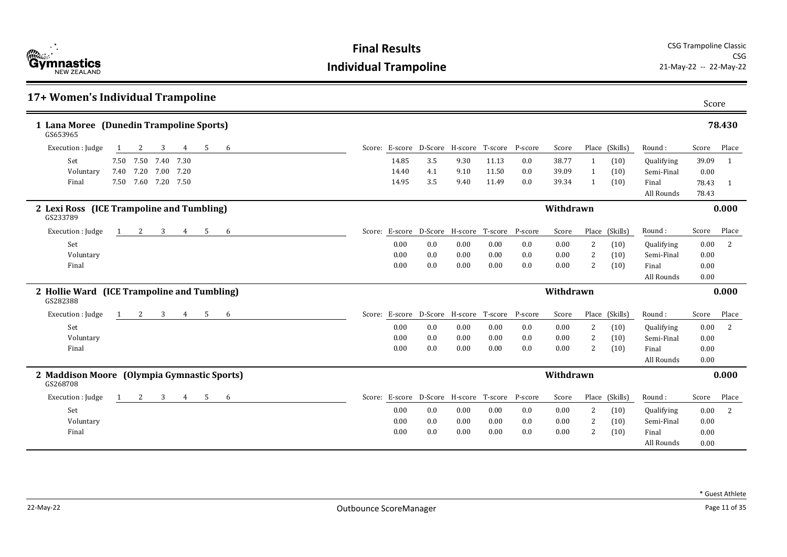| 17+ Women's Individual Trampoline                            |       |                                                |      |       |     |           |                |                |            | Score |                |
|--------------------------------------------------------------|-------|------------------------------------------------|------|-------|-----|-----------|----------------|----------------|------------|-------|----------------|
| 1 Lana Moree (Dunedin Trampoline Sports)<br>GS653965         |       |                                                |      |       |     |           |                |                |            |       | 78.430         |
| Execution : Judge<br>-5<br>6<br>3<br>4<br>2                  |       | Score: E-score D-Score H-score T-score P-score |      |       |     | Score     |                | Place (Skills) | Round:     | Score | Place          |
| Set<br>7.50 7.50 7.40<br>7.30                                | 14.85 | 3.5                                            | 9.30 | 11.13 | 0.0 | 38.77     | $\mathbf{1}$   | (10)           | Qualifying | 39.09 | $\mathbf{1}$   |
| 7.20<br>Voluntary<br>7.40<br>7.00<br>7.20                    | 14.40 | 4.1                                            | 9.10 | 11.50 | 0.0 | 39.09     | 1              | (10)           | Semi-Final | 0.00  |                |
| 7.60 7.20 7.50<br>Final<br>7.50                              | 14.95 | 3.5                                            | 9.40 | 11.49 | 0.0 | 39.34     | 1              | (10)           | Final      | 78.43 | $\overline{1}$ |
|                                                              |       |                                                |      |       |     |           |                |                | All Rounds | 78.43 |                |
| 2 Lexi Ross (ICE Trampoline and Tumbling)<br>GS233789        |       |                                                |      |       |     | Withdrawn |                |                |            |       | 0.000          |
| 3<br>Execution : Judge<br>2<br>5<br>1<br>4<br>-6             |       | Score: E-score D-Score H-score T-score P-score |      |       |     | Score     |                | Place (Skills) | Round:     | Score | Place          |
| Set                                                          | 0.00  | 0.0                                            | 0.00 | 0.00  | 0.0 | 0.00      | 2              | (10)           | Qualifying | 0.00  | 2              |
| Voluntary                                                    | 0.00  | 0.0                                            | 0.00 | 0.00  | 0.0 | 0.00      | 2              | (10)           | Semi-Final | 0.00  |                |
| Final                                                        | 0.00  | 0.0                                            | 0.00 | 0.00  | 0.0 | 0.00      | $\overline{2}$ | (10)           | Final      | 0.00  |                |
|                                                              |       |                                                |      |       |     |           |                |                | All Rounds | 0.00  |                |
| 2 Hollie Ward (ICE Trampoline and Tumbling)<br>GS282388      |       |                                                |      |       |     | Withdrawn |                |                |            |       | 0.000          |
| Execution : Judge<br>3<br>$\overline{4}$<br>5<br>2<br>6<br>1 |       | Score: E-score D-Score H-score T-score P-score |      |       |     | Score     |                | Place (Skills) | Round:     | Score | Place          |
| Set                                                          | 0.00  | 0.0                                            | 0.00 | 0.00  | 0.0 | 0.00      | 2              | (10)           | Qualifying | 0.00  | <sup>2</sup>   |
| Voluntary                                                    | 0.00  | 0.0                                            | 0.00 | 0.00  | 0.0 | 0.00      | 2              | (10)           | Semi-Final | 0.00  |                |
| Final                                                        | 0.00  | 0.0                                            | 0.00 | 0.00  | 0.0 | 0.00      | 2              | (10)           | Final      | 0.00  |                |
|                                                              |       |                                                |      |       |     |           |                |                | All Rounds | 0.00  |                |
| 2 Maddison Moore (Olympia Gymnastic Sports)<br>GS268708      |       |                                                |      |       |     | Withdrawn |                |                |            |       | 0.000          |
| 3<br>5<br>Execution : Judge<br>2<br>4<br>6<br>1              |       | Score: E-score D-Score H-score T-score P-score |      |       |     | Score     |                | Place (Skills) | Round:     | Score | Place          |
| Set                                                          | 0.00  | 0.0                                            | 0.00 | 0.00  | 0.0 | 0.00      | 2              | (10)           | Qualifying | 0.00  | <sup>2</sup>   |
| Voluntary                                                    | 0.00  | 0.0                                            | 0.00 | 0.00  | 0.0 | 0.00      | 2              | (10)           | Semi-Final | 0.00  |                |
| Final                                                        | 0.00  | 0.0                                            | 0.00 | 0.00  | 0.0 | 0.00      | 2              | (10)           | Final      | 0.00  |                |
|                                                              |       |                                                |      |       |     |           |                |                | All Rounds | 0.00  |                |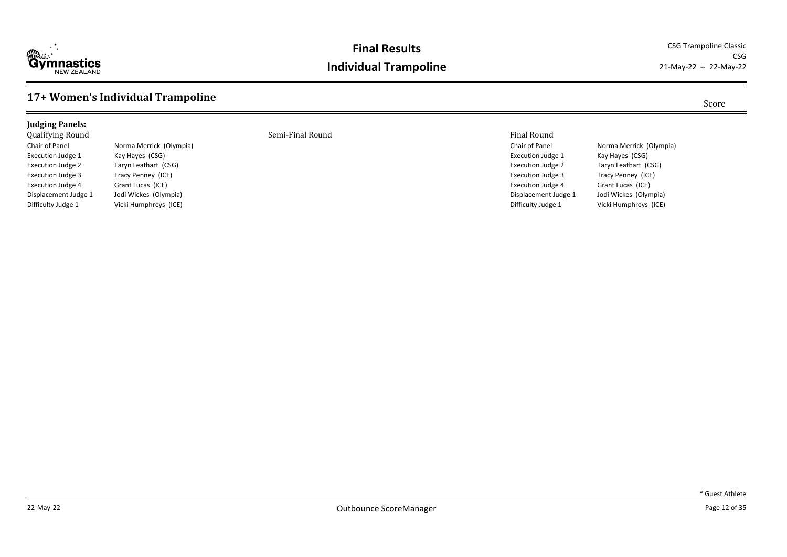

#### **Final Results** CSG Trampoline Classic **Individual Trampoline**

CSG<br>21-May-22 -- 22-May-22

#### **17+ Women's Individual Trampoline** Score

| <b>Iudging Panels:</b>   |                         |                  |                       |
|--------------------------|-------------------------|------------------|-----------------------|
| <b>Qualifying Round</b>  |                         | Semi-Final Round | <b>Final Round</b>    |
| Chair of Panel           | Norma Merrick (Olympia) |                  | Chair of Panel        |
| Execution Judge 1        | Kay Hayes (CSG)         |                  | <b>Execution Judg</b> |
| Execution Judge 2        | Taryn Leathart (CSG)    |                  | <b>Execution Judg</b> |
| <b>Execution Judge 3</b> | Tracy Penney (ICE)      |                  | <b>Execution Judg</b> |
| Execution Judge 4        | Grant Lucas (ICE)       |                  | <b>Execution Judg</b> |
| Displacement Judge 1     | Jodi Wickes (Olympia)   |                  | Displacement          |

Difficulty Judge 1 Vicki Humphreys (ICE)

Chair of Panel Norma Merrick (Olympia) Execution Judge 1 Kay Hayes (CSG) Execution Judge 2 Taryn Leathart (CSG) Execution Judge 3 Tracy Penney (ICE) Execution Judge 4 Grant Lucas (ICE)<br>Displacement Judge 1 Jodi Wickes (Olym Displacement Judge 1 Jodi Wickes (Olympia)<br>Difficulty Judge 1 Vicki Humphreys (ICE) Vicki Humphreys (ICE)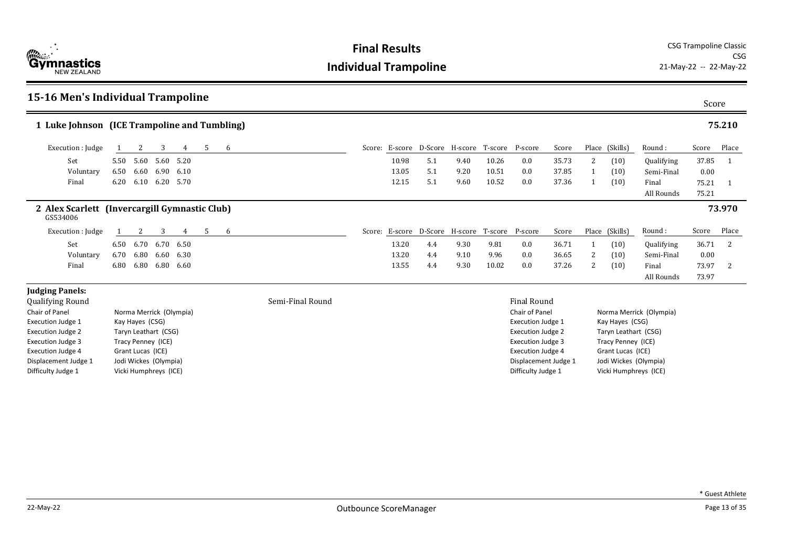

| 15-16 Men's Individual Trampoline                         |      |                       |      |                         |    |   |                  |       |     |                                                |       |                          |       |   |                       |                         |                | Score  |
|-----------------------------------------------------------|------|-----------------------|------|-------------------------|----|---|------------------|-------|-----|------------------------------------------------|-------|--------------------------|-------|---|-----------------------|-------------------------|----------------|--------|
| 1 Luke Johnson (ICE Trampoline and Tumbling)              |      |                       |      |                         |    |   |                  |       |     |                                                |       |                          |       |   |                       |                         |                | 75.210 |
| Execution : Judge                                         |      | 2                     | 3    | 4                       | -5 | 6 |                  |       |     | Score: E-score D-Score H-score T-score P-score |       |                          | Score |   | Place (Skills)        | Round:                  | Score          | Place  |
| Set                                                       |      | 5.50 5.60             | 5.60 | 5.20                    |    |   |                  | 10.98 | 5.1 | 9.40                                           | 10.26 | 0.0                      | 35.73 | 2 | (10)                  | Qualifying              | 37.85          |        |
| Voluntary                                                 | 6.50 | 6.60                  | 6.90 | 6.10                    |    |   |                  | 13.05 | 5.1 | 9.20                                           | 10.51 | 0.0                      | 37.85 |   | (10)                  | Semi-Final              | 0.00           |        |
| Final                                                     | 6.20 | 6.10                  | 6.20 | 5.70                    |    |   |                  | 12.15 | 5.1 | 9.60                                           | 10.52 | 0.0                      | 37.36 |   | (10)                  | Final<br>All Rounds     | 75.21<br>75.21 |        |
| 2 Alex Scarlett (Invercargill Gymnastic Club)<br>GS534006 |      |                       |      |                         |    |   |                  |       |     |                                                |       |                          |       |   |                       |                         |                | 73.970 |
| Execution : Judge                                         |      | 2                     | 3    | 4                       | 5  | 6 |                  |       |     | Score: E-score D-Score H-score T-score P-score |       |                          | Score |   | Place (Skills)        | Round:                  | Score          | Place  |
| Set                                                       | 6.50 | 6.70                  | 6.70 | 6.50                    |    |   |                  | 13.20 | 4.4 | 9.30                                           | 9.81  | 0.0                      | 36.71 |   | (10)                  | Qualifying              | 36.71          | 2      |
| Voluntary                                                 | 6.70 | 6.80                  | 6.60 | 6.30                    |    |   |                  | 13.20 | 4.4 | 9.10                                           | 9.96  | 0.0                      | 36.65 | 2 | (10)                  | Semi-Final              | 0.00           |        |
| Final                                                     | 6.80 | 6.80                  | 6.80 | 6.60                    |    |   |                  | 13.55 | 4.4 | 9.30                                           | 10.02 | 0.0                      | 37.26 | 2 | (10)                  | Final                   | 73.97          | 2      |
|                                                           |      |                       |      |                         |    |   |                  |       |     |                                                |       |                          |       |   |                       | All Rounds              | 73.97          |        |
| <b>Judging Panels:</b><br><b>Qualifying Round</b>         |      |                       |      |                         |    |   | Semi-Final Round |       |     |                                                |       | Final Round              |       |   |                       |                         |                |        |
| Chair of Panel                                            |      |                       |      | Norma Merrick (Olympia) |    |   |                  |       |     |                                                |       | Chair of Panel           |       |   |                       | Norma Merrick (Olympia) |                |        |
| Execution Judge 1                                         |      | Kay Hayes (CSG)       |      |                         |    |   |                  |       |     |                                                |       | Execution Judge 1        |       |   | Kay Hayes (CSG)       |                         |                |        |
| <b>Execution Judge 2</b>                                  |      | Taryn Leathart (CSG)  |      |                         |    |   |                  |       |     |                                                |       | <b>Execution Judge 2</b> |       |   | Taryn Leathart (CSG)  |                         |                |        |
| <b>Execution Judge 3</b>                                  |      | Tracy Penney (ICE)    |      |                         |    |   |                  |       |     |                                                |       | <b>Execution Judge 3</b> |       |   | Tracy Penney (ICE)    |                         |                |        |
| <b>Execution Judge 4</b>                                  |      | Grant Lucas (ICE)     |      |                         |    |   |                  |       |     |                                                |       | <b>Execution Judge 4</b> |       |   | Grant Lucas (ICE)     |                         |                |        |
| Displacement Judge 1                                      |      | Jodi Wickes (Olympia) |      |                         |    |   |                  |       |     |                                                |       | Displacement Judge 1     |       |   | Jodi Wickes (Olympia) |                         |                |        |

Displacement Judge 1 Jodi Wickes (Olympia)<br>Difficulty Judge 1 Vicki Humphreys (ICE)

Vicki Humphreys (ICE)

Displacement Judge 1 Jodi Wickes (Olympia)<br>Difficulty Judge 1 Vicki Humphreys (ICE)

Vicki Humphreys (ICE)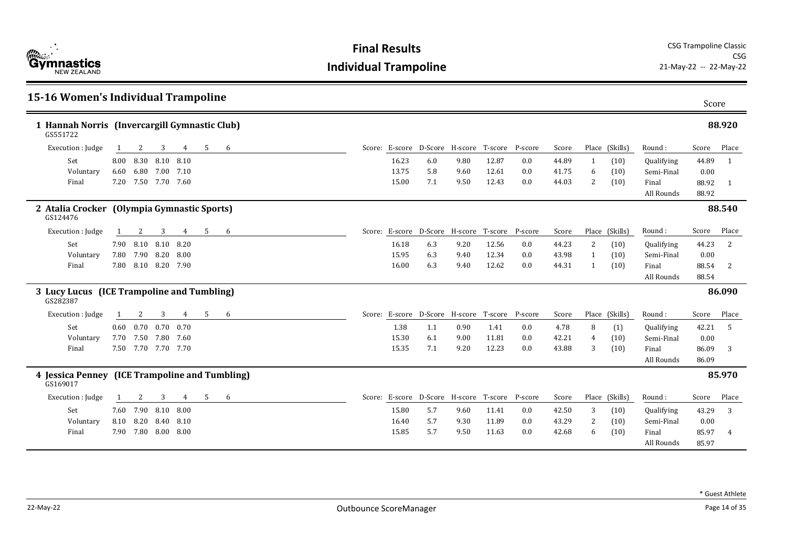

| <b>15-16 Women's Individual Trampoline</b>                 |      |      |                     |                            |   |   |  |       |                                                |      |       |         |       |   |                |            | Score |                |
|------------------------------------------------------------|------|------|---------------------|----------------------------|---|---|--|-------|------------------------------------------------|------|-------|---------|-------|---|----------------|------------|-------|----------------|
| 1 Hannah Norris (Invercargill Gymnastic Club)<br>GS551722  |      |      |                     |                            |   |   |  |       |                                                |      |       |         |       |   |                |            |       | 88.920         |
| Execution : Judge                                          |      | 2    | 3                   | 4                          | 5 | 6 |  |       | Score: E-score D-Score H-score T-score P-score |      |       |         | Score |   | Place (Skills) | Round:     | Score | Place          |
| Set                                                        | 8.00 |      | 8.30 8.10           | 8.10                       |   |   |  | 16.23 | 6.0                                            | 9.80 | 12.87 | 0.0     | 44.89 | 1 | (10)           | Qualifying | 44.89 | $\overline{1}$ |
| Voluntary                                                  | 6.60 |      | 6.80 7.00           | 7.10                       |   |   |  | 13.75 | 5.8                                            | 9.60 | 12.61 | 0.0     | 41.75 | 6 | (10)           | Semi-Final | 0.00  |                |
| Final                                                      | 7.20 |      | 7.50 7.70           | 7.60                       |   |   |  | 15.00 | 7.1                                            | 9.50 | 12.43 | 0.0     | 44.03 | 2 | (10)           | Final      | 88.92 | 1              |
|                                                            |      |      |                     |                            |   |   |  |       |                                                |      |       |         |       |   |                | All Rounds | 88.92 |                |
| 2 Atalia Crocker<br>GS124476                               |      |      |                     | (Olympia Gymnastic Sports) |   |   |  |       |                                                |      |       |         |       |   |                |            |       | 88.540         |
| Execution : Judge                                          | -1   | 2    | 3                   | 4                          | 5 | 6 |  |       | Score: E-score D-Score H-score T-score         |      |       | P-score | Score |   | Place (Skills) | Round:     | Score | Place          |
| Set                                                        | 7.90 | 8.10 | 8.10                | 8.20                       |   |   |  | 16.18 | 6.3                                            | 9.20 | 12.56 | 0.0     | 44.23 | 2 | (10)           | Qualifying | 44.23 | 2              |
| Voluntary                                                  | 7.80 | 7.90 | 8.20                | 8.00                       |   |   |  | 15.95 | 6.3                                            | 9.40 | 12.34 | 0.0     | 43.98 | 1 | (10)           | Semi-Final | 0.00  |                |
| Final                                                      | 7.80 |      | 8.10 8.20 7.90      |                            |   |   |  | 16.00 | 6.3                                            | 9.40 | 12.62 | 0.0     | 44.31 | 1 | (10)           | Final      | 88.54 | 2              |
|                                                            |      |      |                     |                            |   |   |  |       |                                                |      |       |         |       |   |                | All Rounds | 88.54 |                |
| 3 Lucy Lucus (ICE Trampoline and Tumbling)<br>GS282387     |      |      |                     |                            |   |   |  |       |                                                |      |       |         |       |   |                |            |       | 86.090         |
| Execution : Judge                                          | 1    | 2    | 3                   | $\overline{4}$             | 5 | 6 |  |       | Score: E-score D-Score H-score T-score P-score |      |       |         | Score |   | Place (Skills) | Round:     | Score | Place          |
| Set                                                        | 0.60 | 0.70 | 0.70                | 0.70                       |   |   |  | 1.38  | 1.1                                            | 0.90 | 1.41  | 0.0     | 4.78  | 8 | (1)            | Qualifying | 42.21 | -5             |
| Voluntary                                                  | 7.70 |      | 7.50 7.80           | 7.60                       |   |   |  | 15.30 | 6.1                                            | 9.00 | 11.81 | 0.0     | 42.21 | 4 | (10)           | Semi-Final | 0.00  |                |
| Final                                                      |      |      | 7.50 7.70 7.70 7.70 |                            |   |   |  | 15.35 | 7.1                                            | 9.20 | 12.23 | 0.0     | 43.88 | 3 | (10)           | Final      | 86.09 | 3              |
|                                                            |      |      |                     |                            |   |   |  |       |                                                |      |       |         |       |   |                | All Rounds | 86.09 |                |
| 4 Jessica Penney (ICE Trampoline and Tumbling)<br>GS169017 |      |      |                     |                            |   |   |  |       |                                                |      |       |         |       |   |                |            |       | 85.970         |
| Execution : Judge                                          |      | 2    | 3                   | 4                          | 5 | 6 |  |       | Score: E-score D-Score H-score T-score P-score |      |       |         | Score |   | Place (Skills) | Round:     | Score | Place          |
| Set                                                        |      |      | 7.60 7.90 8.10      | 8.00                       |   |   |  | 15.80 | 5.7                                            | 9.60 | 11.41 | 0.0     | 42.50 | 3 | (10)           | Qualifying | 43.29 | 3              |
| Voluntary                                                  | 8.10 | 8.20 | 8.40                | 8.10                       |   |   |  | 16.40 | 5.7                                            | 9.30 | 11.89 | 0.0     | 43.29 | 2 | (10)           | Semi-Final | 0.00  |                |
| Final                                                      | 7.90 |      | 7.80 8.00           | 8.00                       |   |   |  | 15.85 | 5.7                                            | 9.50 | 11.63 | 0.0     | 42.68 | 6 | (10)           | Final      | 85.97 | 4              |
|                                                            |      |      |                     |                            |   |   |  |       |                                                |      |       |         |       |   |                | All Rounds | 85.97 |                |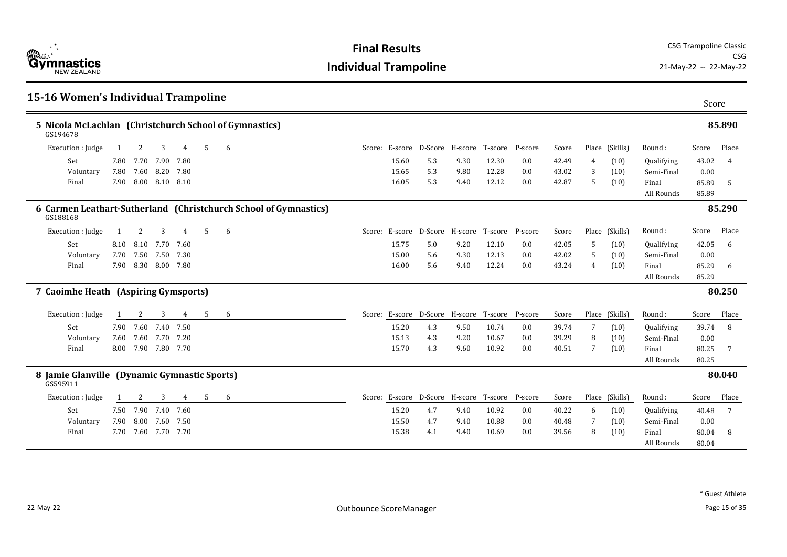| 15-16 Women's Individual Trampoline                                |      |                     |                |                |    |                                                                  |       |                                                |      |       |     |       |                |                |                     | Score          |                |
|--------------------------------------------------------------------|------|---------------------|----------------|----------------|----|------------------------------------------------------------------|-------|------------------------------------------------|------|-------|-----|-------|----------------|----------------|---------------------|----------------|----------------|
| 5 Nicola McLachlan (Christchurch School of Gymnastics)<br>GS194678 |      |                     |                |                |    |                                                                  |       |                                                |      |       |     |       |                |                |                     |                | 85.890         |
| Execution : Judge                                                  |      | 2                   | 3              | 4              | 5  | 6                                                                |       | Score: E-score D-Score H-score T-score P-score |      |       |     | Score |                | Place (Skills) | Round:              | Score          | Place          |
| Set                                                                |      | 7.80 7.70 7.90      |                | 7.80           |    |                                                                  | 15.60 | 5.3                                            | 9.30 | 12.30 | 0.0 | 42.49 | $\overline{4}$ | (10)           | Qualifying          | 43.02          | $\overline{4}$ |
| Voluntary                                                          | 7.80 | 7.60 8.20           |                | 7.80           |    |                                                                  | 15.65 | 5.3                                            | 9.80 | 12.28 | 0.0 | 43.02 | 3              | (10)           | Semi-Final          | 0.00           |                |
| Final                                                              |      | 7.90 8.00 8.10 8.10 |                |                |    |                                                                  | 16.05 | 5.3                                            | 9.40 | 12.12 | 0.0 | 42.87 | 5              | (10)           | Final<br>All Rounds | 85.89<br>85.89 | -5             |
| GS188168                                                           |      |                     |                |                |    | 6 Carmen Leathart-Sutherland (Christchurch School of Gymnastics) |       |                                                |      |       |     |       |                |                |                     |                | 85.290         |
| Execution : Judge                                                  |      | 2                   | 3              | 4              | 5  | 6                                                                |       | Score: E-score D-Score H-score T-score P-score |      |       |     | Score |                | Place (Skills) | Round:              | Score          | Place          |
| Set                                                                | 8.10 | 8.10                | 7.70           | 7.60           |    |                                                                  | 15.75 | 5.0                                            | 9.20 | 12.10 | 0.0 | 42.05 | 5              | (10)           | Qualifying          | 42.05          | 6              |
| Voluntary                                                          | 7.70 | 7.50                | 7.50           | 7.30           |    |                                                                  | 15.00 | 5.6                                            | 9.30 | 12.13 | 0.0 | 42.02 | 5              | (10)           | Semi-Final          | 0.00           |                |
| Final                                                              | 7.90 |                     | 8.30 8.00 7.80 |                |    |                                                                  | 16.00 | 5.6                                            | 9.40 | 12.24 | 0.0 | 43.24 | 4              | (10)           | Final               | 85.29          | 6              |
|                                                                    |      |                     |                |                |    |                                                                  |       |                                                |      |       |     |       |                |                | All Rounds          | 85.29          |                |
| 7 Caoimhe Heath (Aspiring Gymsports)                               |      |                     |                |                |    |                                                                  |       |                                                |      |       |     |       |                |                |                     |                | 80.250         |
| Execution : Judge                                                  |      | 2                   | 3              | $\overline{4}$ | -5 | 6                                                                |       | Score: E-score D-Score H-score T-score P-score |      |       |     | Score |                | Place (Skills) | Round:              | Score          | Place          |
| Set                                                                | 7.90 |                     | 7.60 7.40      | 7.50           |    |                                                                  | 15.20 | 4.3                                            | 9.50 | 10.74 | 0.0 | 39.74 | 7              | (10)           | Qualifying          | 39.74          | 8              |
| Voluntary                                                          | 7.60 |                     | 7.60 7.70      | 7.20           |    |                                                                  | 15.13 | 4.3                                            | 9.20 | 10.67 | 0.0 | 39.29 | 8              | (10)           | Semi-Final          | 0.00           |                |
| Final                                                              |      | 8.00 7.90 7.80 7.70 |                |                |    |                                                                  | 15.70 | 4.3                                            | 9.60 | 10.92 | 0.0 | 40.51 | 7              | (10)           | Final               | 80.25          |                |
|                                                                    |      |                     |                |                |    |                                                                  |       |                                                |      |       |     |       |                |                | All Rounds          | 80.25          |                |
| 8 Jamie Glanville (Dynamic Gymnastic Sports)<br>GS595911           |      |                     |                |                |    |                                                                  |       |                                                |      |       |     |       |                |                |                     |                | 80.040         |
| Execution : Judge                                                  |      | 2                   | 3              | 4              | 5  | 6                                                                |       | Score: E-score D-Score H-score T-score P-score |      |       |     | Score |                | Place (Skills) | Round:              | Score          | Place          |
| Set                                                                |      | 7.50 7.90 7.40      |                | 7.60           |    |                                                                  | 15.20 | 4.7                                            | 9.40 | 10.92 | 0.0 | 40.22 | 6              | (10)           | Qualifying          | 40.48          | 7              |
| Voluntary                                                          | 7.90 | $8.00\,$            | 7.60           | 7.50           |    |                                                                  | 15.50 | 4.7                                            | 9.40 | 10.88 | 0.0 | 40.48 | -7             | (10)           | Semi-Final          | 0.00           |                |
| Final                                                              | 7.70 |                     | 7.60 7.70      | 7.70           |    |                                                                  | 15.38 | 4.1                                            | 9.40 | 10.69 | 0.0 | 39.56 | 8              | (10)           | Final               | 80.04          | 8              |
|                                                                    |      |                     |                |                |    |                                                                  |       |                                                |      |       |     |       |                |                | All Rounds          | 80.04          |                |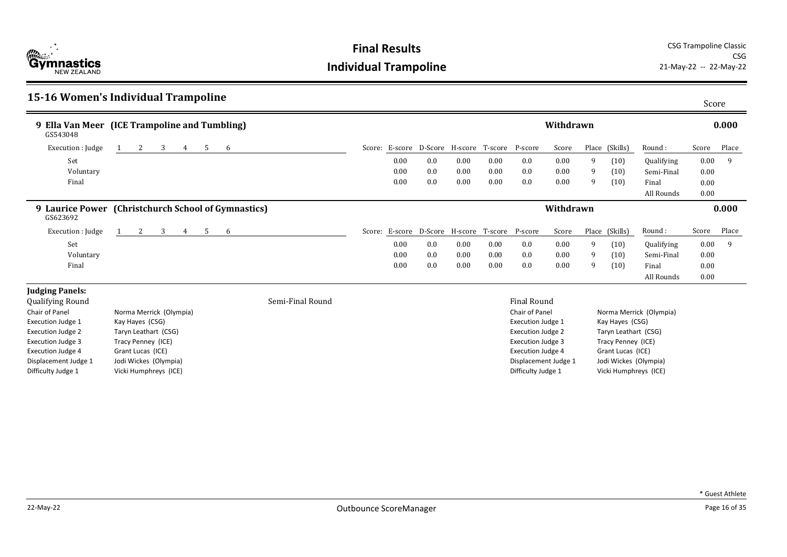**Final Results** CSG Trampoline Classic CSG<br>21-May-22 -- 22-May-22

|                          | 15-16 Women's Individual Trampoline                 |        |                  |      |                                                |      |      |                          |           |   |                       |                         | Score |       |
|--------------------------|-----------------------------------------------------|--------|------------------|------|------------------------------------------------|------|------|--------------------------|-----------|---|-----------------------|-------------------------|-------|-------|
| GS543048                 | 9 Ella Van Meer (ICE Trampoline and Tumbling)       |        |                  |      |                                                |      |      |                          | Withdrawn |   |                       |                         |       | 0.000 |
| Execution : Judge        | 3<br>2<br>4                                         | 5<br>6 |                  |      | Score: E-score D-Score H-score T-score P-score |      |      |                          | Score     |   | Place (Skills)        | Round:                  | Score | Place |
| Set                      |                                                     |        |                  | 0.00 | 0.0                                            | 0.00 | 0.00 | 0.0                      | 0.00      | 9 | (10)                  | Qualifying              | 0.00  | 9     |
| Voluntary                |                                                     |        |                  | 0.00 | 0.0                                            | 0.00 | 0.00 | 0.0                      | 0.00      | 9 | (10)                  | Semi-Final              | 0.00  |       |
| Final                    |                                                     |        |                  | 0.00 | 0.0                                            | 0.00 | 0.00 | 0.0                      | 0.00      | 9 | (10)                  | Final                   | 0.00  |       |
|                          |                                                     |        |                  |      |                                                |      |      |                          |           |   |                       | All Rounds              | 0.00  |       |
| GS623692                 | 9 Laurice Power (Christchurch School of Gymnastics) |        |                  |      |                                                |      |      |                          | Withdrawn |   |                       |                         |       | 0.000 |
| Execution : Judge        | 3<br>2<br>4                                         | 5<br>6 |                  |      | Score: E-score D-Score H-score T-score P-score |      |      |                          | Score     |   | Place (Skills)        | Round:                  | Score | Place |
| Set                      |                                                     |        |                  | 0.00 | 0.0                                            | 0.00 | 0.00 | 0.0                      | 0.00      | 9 | (10)                  | Qualifying              | 0.00  | 9     |
| Voluntary                |                                                     |        |                  | 0.00 | 0.0                                            | 0.00 | 0.00 | 0.0                      | 0.00      | 9 | (10)                  | Semi-Final              | 0.00  |       |
| Final                    |                                                     |        |                  | 0.00 | 0.0                                            | 0.00 | 0.00 | 0.0                      | 0.00      | 9 | (10)                  | Final                   | 0.00  |       |
|                          |                                                     |        |                  |      |                                                |      |      |                          |           |   |                       | All Rounds              | 0.00  |       |
| <b>Judging Panels:</b>   |                                                     |        |                  |      |                                                |      |      |                          |           |   |                       |                         |       |       |
| <b>Qualifying Round</b>  |                                                     |        | Semi-Final Round |      |                                                |      |      | Final Round              |           |   |                       |                         |       |       |
| Chair of Panel           | Norma Merrick (Olympia)                             |        |                  |      |                                                |      |      | Chair of Panel           |           |   |                       | Norma Merrick (Olympia) |       |       |
| Execution Judge 1        | Kay Hayes (CSG)                                     |        |                  |      |                                                |      |      | Execution Judge 1        |           |   | Kay Hayes (CSG)       |                         |       |       |
| <b>Execution Judge 2</b> | Taryn Leathart (CSG)                                |        |                  |      |                                                |      |      | <b>Execution Judge 2</b> |           |   | Taryn Leathart (CSG)  |                         |       |       |
| <b>Execution Judge 3</b> | Tracy Penney (ICE)                                  |        |                  |      |                                                |      |      | <b>Execution Judge 3</b> |           |   | Tracy Penney (ICE)    |                         |       |       |
| <b>Execution Judge 4</b> | Grant Lucas (ICE)                                   |        |                  |      |                                                |      |      | <b>Execution Judge 4</b> |           |   | Grant Lucas (ICE)     |                         |       |       |
| Displacement Judge 1     | Jodi Wickes (Olympia)                               |        |                  |      |                                                |      |      | Displacement Judge 1     |           |   | Jodi Wickes (Olympia) |                         |       |       |
| Difficulty Judge 1       | Vicki Humphreys (ICE)                               |        |                  |      |                                                |      |      | Difficulty Judge 1       |           |   | Vicki Humphreys (ICE) |                         |       |       |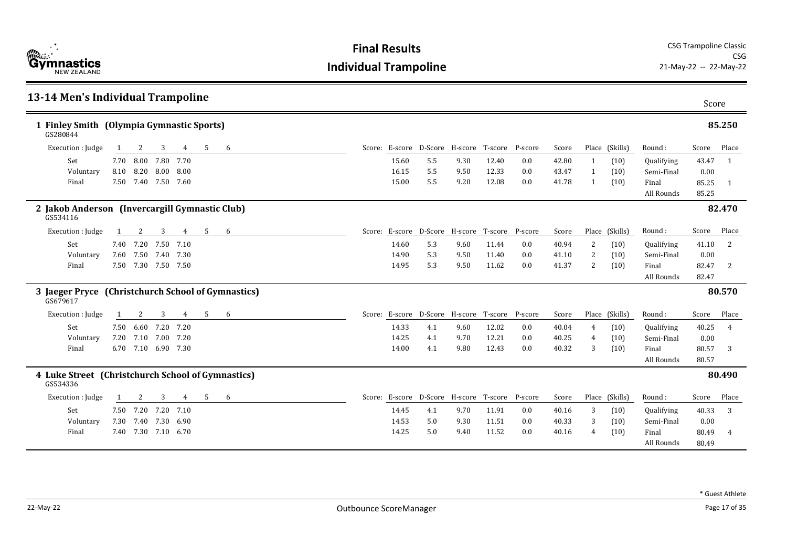| <b>Example 1</b><br><b>Gymnastics</b><br><b>NFW 7FAI AND</b> |
|--------------------------------------------------------------|
|--------------------------------------------------------------|

| 13-14 Men's Individual Trampoline                              |      |                     |                |      |   |   |                                                |     |      |       |     |       |    |                |                     | Score          |                |
|----------------------------------------------------------------|------|---------------------|----------------|------|---|---|------------------------------------------------|-----|------|-------|-----|-------|----|----------------|---------------------|----------------|----------------|
| 1 Finley Smith (Olympia Gymnastic Sports)<br>GS280844          |      |                     |                |      |   |   |                                                |     |      |       |     |       |    |                |                     |                | 85.250         |
| Execution : Judge                                              |      | 2                   | 3              | 4    | 5 | 6 | Score: E-score D-Score H-score T-score P-score |     |      |       |     | Score |    | Place (Skills) | Round:              | Score          | Place          |
| Set                                                            |      | 7.70 8.00           | 7.80           | 7.70 |   |   | 15.60                                          | 5.5 | 9.30 | 12.40 | 0.0 | 42.80 | -1 | (10)           | Qualifying          | 43.47          | $\overline{1}$ |
| Voluntary                                                      | 8.10 |                     | 8.20 8.00      | 8.00 |   |   | 16.15                                          | 5.5 | 9.50 | 12.33 | 0.0 | 43.47 | -1 | (10)           | Semi-Final          | 0.00           |                |
| Final                                                          |      | 7.50 7.40 7.50 7.60 |                |      |   |   | 15.00                                          | 5.5 | 9.20 | 12.08 | 0.0 | 41.78 | 1  | (10)           | Final<br>All Rounds | 85.25<br>85.25 | -1             |
| 2 Jakob Anderson (Invercargill Gymnastic Club)<br>GS534116     |      |                     |                |      |   |   |                                                |     |      |       |     |       |    |                |                     |                | 82.470         |
| Execution : Judge                                              |      | 2                   | 3              | 4    | 5 | 6 | Score: E-score D-Score H-score T-score P-score |     |      |       |     | Score |    | Place (Skills) | Round:              | Score          | Place          |
| Set                                                            |      | 7.40 7.20           | 7.50           | 7.10 |   |   | 14.60                                          | 5.3 | 9.60 | 11.44 | 0.0 | 40.94 | 2  | (10)           | Qualifying          | 41.10          | 2              |
| Voluntary                                                      | 7.60 | 7.50                | 7.40           | 7.30 |   |   | 14.90                                          | 5.3 | 9.50 | 11.40 | 0.0 | 41.10 | 2  | (10)           | Semi-Final          | 0.00           |                |
| Final                                                          |      | 7.50 7.30 7.50 7.50 |                |      |   |   | 14.95                                          | 5.3 | 9.50 | 11.62 | 0.0 | 41.37 | 2  | (10)           | Final               | 82.47          | 2              |
|                                                                |      |                     |                |      |   |   |                                                |     |      |       |     |       |    |                | All Rounds          | 82.47          |                |
| 3 Jaeger Pryce (Christchurch School of Gymnastics)<br>GS679617 |      |                     |                |      |   |   |                                                |     |      |       |     |       |    |                |                     |                | 80.570         |
| Execution : Judge                                              | 1    | 2                   | 3              | 4    | 5 | 6 | Score: E-score D-Score H-score T-score P-score |     |      |       |     | Score |    | Place (Skills) | Round:              | Score          | Place          |
| Set                                                            |      | 7.50 6.60 7.20      |                | 7.20 |   |   | 14.33                                          | 4.1 | 9.60 | 12.02 | 0.0 | 40.04 | 4  | (10)           | Qualifying          | 40.25          | $\overline{4}$ |
| Voluntary                                                      | 7.20 |                     | 7.10 7.00 7.20 |      |   |   | 14.25                                          | 4.1 | 9.70 | 12.21 | 0.0 | 40.25 | 4  | (10)           | Semi-Final          | 0.00           |                |
| Final                                                          |      | 6.70 7.10 6.90 7.30 |                |      |   |   | 14.00                                          | 4.1 | 9.80 | 12.43 | 0.0 | 40.32 | 3  | (10)           | Final               | 80.57          | 3              |
|                                                                |      |                     |                |      |   |   |                                                |     |      |       |     |       |    |                | All Rounds          | 80.57          |                |
| 4 Luke Street (Christchurch School of Gymnastics)<br>GS534336  |      |                     |                |      |   |   |                                                |     |      |       |     |       |    |                |                     |                | 80.490         |
| Execution : Judge                                              |      | 2                   | 3              | 4    | 5 | 6 | Score: E-score D-Score H-score T-score P-score |     |      |       |     | Score |    | Place (Skills) | Round:              | Score          | Place          |
| Set                                                            |      | 7.50 7.20 7.20      |                | 7.10 |   |   | 14.45                                          | 4.1 | 9.70 | 11.91 | 0.0 | 40.16 | 3  | (10)           | Qualifying          | 40.33          | 3              |
| Voluntary                                                      | 7.30 | 7.40                | 7.30           | 6.90 |   |   | 14.53                                          | 5.0 | 9.30 | 11.51 | 0.0 | 40.33 | 3  | (10)           | Semi-Final          | 0.00           |                |
| Final                                                          |      | 7.40 7.30 7.10 6.70 |                |      |   |   | 14.25                                          | 5.0 | 9.40 | 11.52 | 0.0 | 40.16 | 4  | (10)           | Final               | 80.49          |                |
|                                                                |      |                     |                |      |   |   |                                                |     |      |       |     |       |    |                | All Rounds          | 80.49          |                |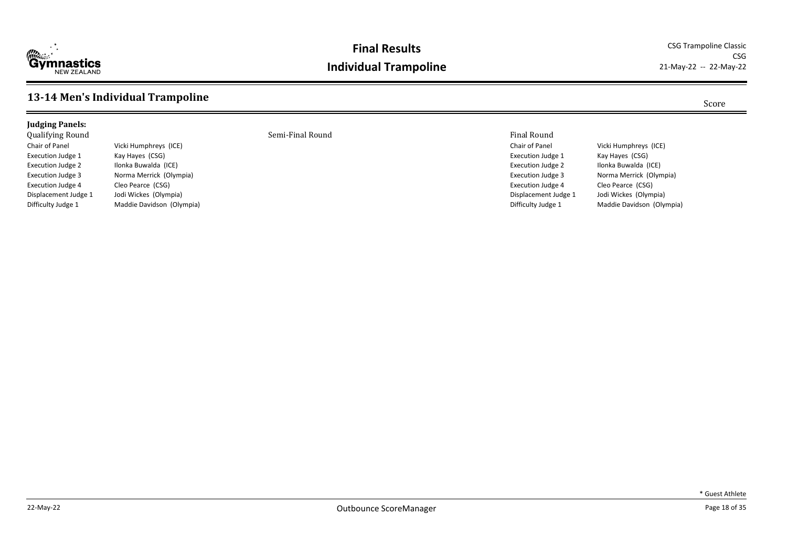

#### **Final Results** CSG Trampoline Classic **Individual Trampoline**

CSG<br>21-May-22 -- 22-May-22

#### **13-14 Men's Individual Trampoline** Score

Jodi Wickes (Olympia)

#### **Judging Panels:** Qualifying Round Semi-Final Round Final Round

Chair of Panel Vicki Humphreys (ICE) Execution Judge 1 Kay Hayes (CSG) Execution Judge 2 Ilonka Buwalda (ICE) Execution Judge 3 Norma Merrick (Olympia) Execution Judge 4 Cleo Pearce (CSG)<br>Displacement Judge 1 Jodi Wickes (Olym Difficulty Judge 1 Maddie Davidson (Olympia)

Chair of Panel Vicki Humphreys (ICE) Execution Judge 1 Kay Hayes (CSG) Execution Judge 2 Ilonka Buwalda (ICE) Execution Judge 3 Norma Merrick (Olympia) Execution Judge 4 Cleo Pearce (CSG)<br>Displacement Judge 1 Jodi Wickes (Olym Jodi Wickes (Olympia) Difficulty Judge 1 Maddie Davidson (Olympia)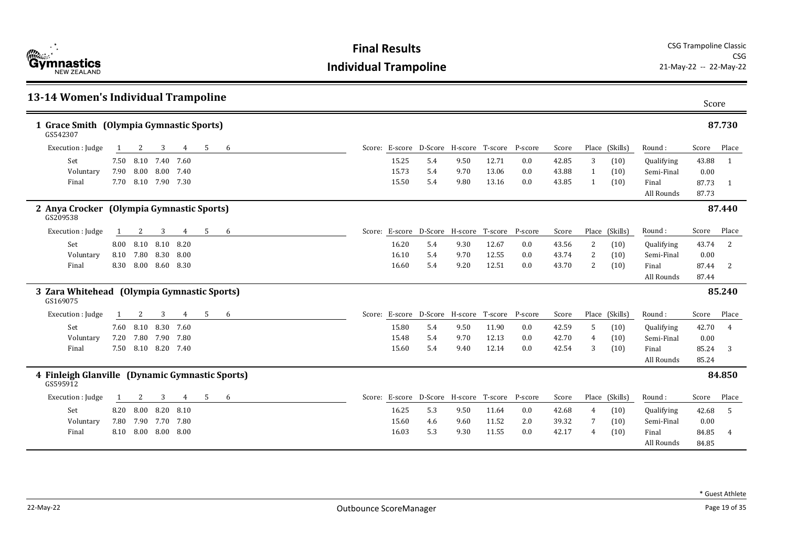

| 13-14 Women's Individual Trampoline                                                                                                        | Score                   |
|--------------------------------------------------------------------------------------------------------------------------------------------|-------------------------|
| 1 Grace Smith (Olympia Gymnastic Sports)<br>GS542307                                                                                       | 87.730                  |
| Score: E-score D-Score H-score T-score P-score<br>Execution : Judge<br>3<br>5<br>6<br>Score<br>Place (Skills)<br>Round:<br>2<br>4          | Place<br>Score          |
| 8.10<br>7.40<br>12.71<br>3<br>Set<br>7.50<br>7.60<br>15.25<br>5.4<br>9.50<br>0.0<br>42.85<br>(10)<br>Qualifying                            | 43.88<br>$\overline{1}$ |
| 8.00 8.00<br>15.73<br>13.06<br>Semi-Final<br>7.90<br>7.40<br>5.4<br>0.0<br>43.88<br>(10)<br>Voluntary<br>9.70<br>$\mathbf{1}$              | 0.00                    |
| Final<br>8.10 7.90 7.30<br>15.50<br>5.4<br>13.16<br>0.0<br>43.85<br>7.70<br>9.80<br>(10)<br>Final<br>1                                     | 87.73<br>-1             |
| All Rounds                                                                                                                                 | 87.73                   |
| 2 Anya Crocker (Olympia Gymnastic Sports)<br>GS209538                                                                                      | 87.440                  |
| Score: E-score D-Score H-score T-score<br>Place (Skills)<br>Execution : Judge<br>3<br>5<br>P-score<br>Score<br>Round:<br>2<br>4<br>6<br>-1 | Place<br>Score          |
| 8.10<br>Set<br>8.00 8.10<br>8.20<br>16.20<br>9.30<br>12.67<br>0.0<br>2<br>Qualifying<br>5.4<br>43.56<br>(10)                               | 43.74<br>2              |
| 7.80<br>8.30<br>12.55<br>2<br>Voluntary<br>8.10<br>8.00<br>16.10<br>5.4<br>0.0<br>43.74<br>9.70<br>(10)<br>Semi-Final                      | 0.00                    |
| 8.30<br>8.00 8.60<br>8.30<br>16.60<br>5.4<br>12.51<br>0.0<br>43.70<br>$\overline{2}$<br>Final<br>9.20<br>(10)<br>Final                     | 87.44<br>2              |
| All Rounds                                                                                                                                 | 87.44                   |
| 3 Zara Whitehead (Olympia Gymnastic Sports)<br>GS169075                                                                                    | 85.240                  |
| Score: E-score D-Score H-score T-score P-score<br>Execution : Judge<br>5<br>Place (Skills)<br>3<br>4<br>6<br>Score<br>Round:<br>2          | Score<br>Place          |
| 8.10<br>8.30<br>Set<br>7.60<br>15.80<br>5.4<br>9.50<br>11.90<br>0.0<br>42.59<br>7.60<br>-5<br>(10)<br>Qualifying                           | 42.70<br>$\overline{4}$ |
| 7.80<br>7.90<br>12.13<br>42.70<br>Voluntary<br>7.20<br>7.80<br>15.48<br>5.4<br>9.70<br>0.0<br>(10)<br>Semi-Final<br>4                      | 0.00                    |
| 7.50 8.10 8.20 7.40<br>12.14<br>15.60<br>5.4<br>0.0<br>42.54<br>3<br>Final<br>9.40<br>(10)<br>Final                                        | 85.24<br>3              |
| All Rounds                                                                                                                                 | 85.24                   |
| 4 Finleigh Glanville (Dynamic Gymnastic Sports)<br>GS595912                                                                                | 84.850                  |
| 5<br>Score: E-score D-Score H-score T-score P-score<br>Place (Skills)<br>Execution : Judge<br>3<br>6<br>Score<br>Round:<br>2<br>4          | Place<br>Score          |
| 8.20<br>Set<br>8.00<br>8.10<br>16.25<br>5.3<br>11.64<br>8.20<br>9.50<br>0.0<br>42.68<br>(10)<br>Qualifying<br>4                            | 42.68<br>-5             |
| 11.52<br>2.0<br>39.32<br>7.80<br>7.90 7.70<br>7.80<br>15.60<br>7<br>(10)<br>Semi-Final<br>Voluntary<br>4.6<br>9.60                         | 0.00                    |
| 16.03<br>5.3<br>11.55<br>Final<br>8.10<br>8.00 8.00<br>8.00<br>9.30<br>0.0<br>42.17<br>4<br>(10)<br>Final                                  | 84.85                   |
| All Rounds                                                                                                                                 | 84.85                   |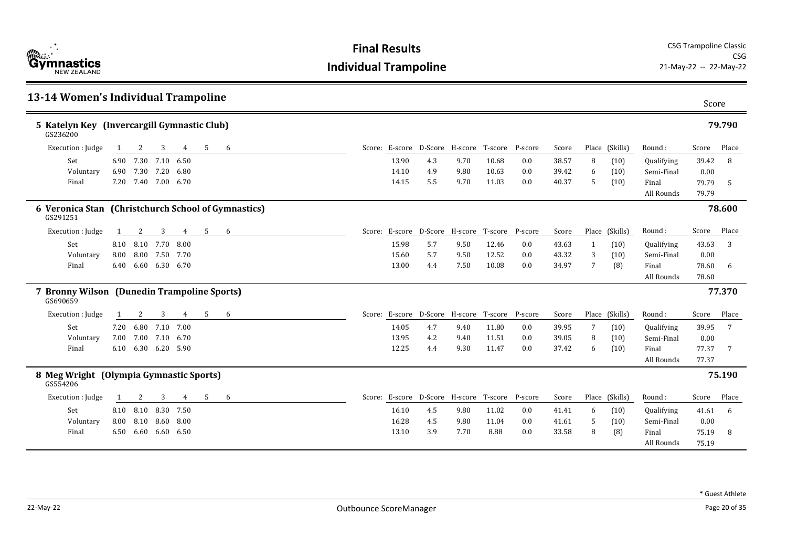

| 13-14 Women's Individual Trampoline                             |      |                     |           |      |    |   |  |       |                                                |      |       |         |       | Score |                |            |       |        |
|-----------------------------------------------------------------|------|---------------------|-----------|------|----|---|--|-------|------------------------------------------------|------|-------|---------|-------|-------|----------------|------------|-------|--------|
| 5 Katelyn Key (Invercargill Gymnastic Club)<br>GS236200         |      |                     |           |      |    |   |  |       |                                                |      |       |         |       |       |                |            |       | 79.790 |
| Execution : Judge                                               |      | 2                   | 3         | 4    | -5 | 6 |  |       | Score: E-score D-Score H-score T-score P-score |      |       |         | Score |       | Place (Skills) | Round:     | Score | Place  |
| Set                                                             |      | 6.90 7.30           | 7.10      | 6.50 |    |   |  | 13.90 | 4.3                                            | 9.70 | 10.68 | 0.0     | 38.57 | 8     | (10)           | Qualifying | 39.42 | 8      |
| Voluntary                                                       |      | 6.90 7.30 7.20      |           | 6.80 |    |   |  | 14.10 | 4.9                                            | 9.80 | 10.63 | 0.0     | 39.42 | 6     | (10)           | Semi-Final | 0.00  |        |
| Final                                                           |      | 7.20 7.40 7.00 6.70 |           |      |    |   |  | 14.15 | 5.5                                            | 9.70 | 11.03 | 0.0     | 40.37 | -5    | (10)           | Final      | 79.79 | -5     |
|                                                                 |      |                     |           |      |    |   |  |       |                                                |      |       |         |       |       |                | All Rounds | 79.79 |        |
| 6 Veronica Stan (Christchurch School of Gymnastics)<br>GS291251 |      |                     |           |      |    |   |  |       |                                                |      |       |         |       |       |                |            |       | 78.600 |
| Execution : Judge                                               | -1   | 2                   | 3         | 4    | 5  | 6 |  |       | Score: E-score D-Score H-score T-score         |      |       | P-score | Score |       | Place (Skills) | Round:     | Score | Place  |
| Set                                                             |      | 8.10 8.10           | 7.70      | 8.00 |    |   |  | 15.98 | 5.7                                            | 9.50 | 12.46 | 0.0     | 43.63 | -1    | (10)           | Qualifying | 43.63 | 3      |
| Voluntary                                                       | 8.00 | 8.00                | 7.50      | 7.70 |    |   |  | 15.60 | 5.7                                            | 9.50 | 12.52 | 0.0     | 43.32 | 3     | (10)           | Semi-Final | 0.00  |        |
| Final                                                           | 6.40 | 6.60                | 6.30 6.70 |      |    |   |  | 13.00 | 4.4                                            | 7.50 | 10.08 | 0.0     | 34.97 | 7     | (8)            | Final      | 78.60 | 6      |
|                                                                 |      |                     |           |      |    |   |  |       |                                                |      |       |         |       |       |                | All Rounds | 78.60 |        |
| 7 Bronny Wilson (Dunedin Trampoline Sports)<br>GS690659         |      |                     |           |      |    |   |  |       |                                                |      |       |         |       |       |                |            |       | 77.370 |
| Execution : Judge                                               |      | 2                   | 3         | 4    | 5  | 6 |  |       | Score: E-score D-Score H-score T-score P-score |      |       |         | Score |       | Place (Skills) | Round:     | Score | Place  |
| Set                                                             |      | 7.20 6.80           | 7.10      | 7.00 |    |   |  | 14.05 | 4.7                                            | 9.40 | 11.80 | 0.0     | 39.95 | 7     | (10)           | Qualifying | 39.95 | 7      |
| Voluntary                                                       | 7.00 | 7.00                | 7.10 6.70 |      |    |   |  | 13.95 | 4.2                                            | 9.40 | 11.51 | 0.0     | 39.05 | 8     | (10)           | Semi-Final | 0.00  |        |
| Final                                                           |      | 6.10 6.30 6.20 5.90 |           |      |    |   |  | 12.25 | 4.4                                            | 9.30 | 11.47 | 0.0     | 37.42 | 6     | (10)           | Final      | 77.37 | -7     |
|                                                                 |      |                     |           |      |    |   |  |       |                                                |      |       |         |       |       |                | All Rounds | 77.37 |        |
| 8 Meg Wright (Olympia Gymnastic Sports)<br>GS554206             |      |                     |           |      |    |   |  |       |                                                |      |       |         |       |       |                |            |       | 75.190 |
| Execution : Judge                                               |      | 2                   | 3         | 4    | 5  | 6 |  |       | Score: E-score D-Score H-score T-score         |      |       | P-score | Score |       | Place (Skills) | Round:     | Score | Place  |
| Set                                                             |      | 8.10 8.10           | 8.30      | 7.50 |    |   |  | 16.10 | 4.5                                            | 9.80 | 11.02 | 0.0     | 41.41 | 6     | (10)           | Qualifying | 41.61 | -6     |
| Voluntary                                                       |      | 8.00 8.10           | 8.60      | 8.00 |    |   |  | 16.28 | 4.5                                            | 9.80 | 11.04 | 0.0     | 41.61 | -5    | (10)           | Semi-Final | 0.00  |        |
| Final                                                           |      | 6.50 6.60 6.60 6.50 |           |      |    |   |  | 13.10 | 3.9                                            | 7.70 | 8.88  | 0.0     | 33.58 | 8     | (8)            | Final      | 75.19 | 8      |
|                                                                 |      |                     |           |      |    |   |  |       |                                                |      |       |         |       |       |                | All Rounds | 75.19 |        |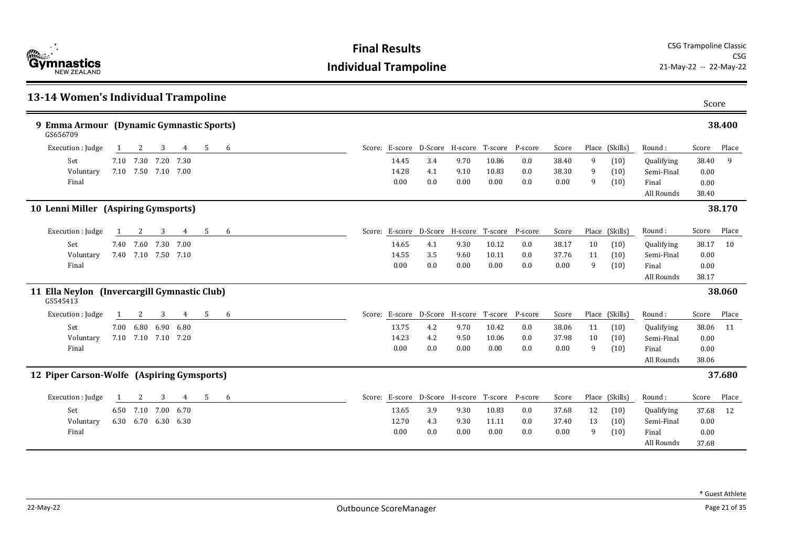| 13-14 Women's Individual Trampoline                      |                     |   |      |    |   |                                                |     |      |       |     |       |    |                |            | Score |        |
|----------------------------------------------------------|---------------------|---|------|----|---|------------------------------------------------|-----|------|-------|-----|-------|----|----------------|------------|-------|--------|
| 9 Emma Armour (Dynamic Gymnastic Sports)<br>GS656709     |                     |   |      |    |   |                                                |     |      |       |     |       |    |                |            |       | 38.400 |
| Execution : Judge                                        | 2                   | 3 | 4    | -5 | 6 | Score: E-score D-Score H-score T-score P-score |     |      |       |     | Score |    | Place (Skills) | Round:     | Score | Place  |
| Set                                                      | 7.10 7.30 7.20 7.30 |   |      |    |   | 14.45                                          | 3.4 | 9.70 | 10.86 | 0.0 | 38.40 | 9  | (10)           | Qualifying | 38.40 | 9      |
| Voluntary                                                | 7.10 7.50 7.10 7.00 |   |      |    |   | 14.28                                          | 4.1 | 9.10 | 10.83 | 0.0 | 38.30 | 9  | (10)           | Semi-Final | 0.00  |        |
| Final                                                    |                     |   |      |    |   | 0.00                                           | 0.0 | 0.00 | 0.00  | 0.0 | 0.00  | 9  | (10)           | Final      | 0.00  |        |
|                                                          |                     |   |      |    |   |                                                |     |      |       |     |       |    |                | All Rounds | 38.40 |        |
| 10 Lenni Miller (Aspiring Gymsports)                     |                     |   |      |    |   |                                                |     |      |       |     |       |    |                |            |       | 38.170 |
| Execution : Judge                                        | 2                   | 3 | 4    | 5  | 6 | Score: E-score D-Score H-score T-score P-score |     |      |       |     | Score |    | Place (Skills) | Round:     | Score | Place  |
| Set                                                      | 7.40 7.60 7.30 7.00 |   |      |    |   | 14.65                                          | 4.1 | 9.30 | 10.12 | 0.0 | 38.17 | 10 | (10)           | Qualifying | 38.17 | 10     |
| Voluntary                                                | 7.40 7.10 7.50 7.10 |   |      |    |   | 14.55                                          | 3.5 | 9.60 | 10.11 | 0.0 | 37.76 | 11 | (10)           | Semi-Final | 0.00  |        |
| Final                                                    |                     |   |      |    |   | 0.00                                           | 0.0 | 0.00 | 0.00  | 0.0 | 0.00  | 9  | (10)           | Final      | 0.00  |        |
|                                                          |                     |   |      |    |   |                                                |     |      |       |     |       |    |                | All Rounds | 38.17 |        |
| 11 Ella Neylon (Invercargill Gymnastic Club)<br>GS545413 |                     |   |      |    |   |                                                |     |      |       |     |       |    |                |            |       | 38.060 |
| Execution : Judge                                        | 2                   | 3 | 4    | 5  | 6 | Score: E-score D-Score H-score T-score P-score |     |      |       |     | Score |    | Place (Skills) | Round:     | Score | Place  |
| Set                                                      | 7.00 6.80 6.90 6.80 |   |      |    |   | 13.75                                          | 4.2 | 9.70 | 10.42 | 0.0 | 38.06 | 11 | (10)           | Qualifying | 38.06 | 11     |
| Voluntary                                                | 7.10 7.10 7.10 7.20 |   |      |    |   | 14.23                                          | 4.2 | 9.50 | 10.06 | 0.0 | 37.98 | 10 | (10)           | Semi-Final | 0.00  |        |
| Final                                                    |                     |   |      |    |   | 0.00                                           | 0.0 | 0.00 | 0.00  | 0.0 | 0.00  | 9  | (10)           | Final      | 0.00  |        |
|                                                          |                     |   |      |    |   |                                                |     |      |       |     |       |    |                | All Rounds | 38.06 |        |
| 12 Piper Carson-Wolfe (Aspiring Gymsports)               |                     |   |      |    |   |                                                |     |      |       |     |       |    |                |            |       | 37.680 |
| Execution : Judge                                        | 2                   | 3 | 4    | 5  | 6 | Score: E-score D-Score H-score T-score P-score |     |      |       |     | Score |    | Place (Skills) | Round:     | Score | Place  |
| Set                                                      | 6.50 7.10 7.00      |   | 6.70 |    |   | 13.65                                          | 3.9 | 9.30 | 10.83 | 0.0 | 37.68 | 12 | (10)           | Qualifying | 37.68 | 12     |
| Voluntary                                                | 6.30 6.70 6.30 6.30 |   |      |    |   | 12.70                                          | 4.3 | 9.30 | 11.11 | 0.0 | 37.40 | 13 | (10)           | Semi-Final | 0.00  |        |
| Final                                                    |                     |   |      |    |   | 0.00                                           | 0.0 | 0.00 | 0.00  | 0.0 | 0.00  | 9  | (10)           | Final      | 0.00  |        |
|                                                          |                     |   |      |    |   |                                                |     |      |       |     |       |    |                | All Rounds | 37.68 |        |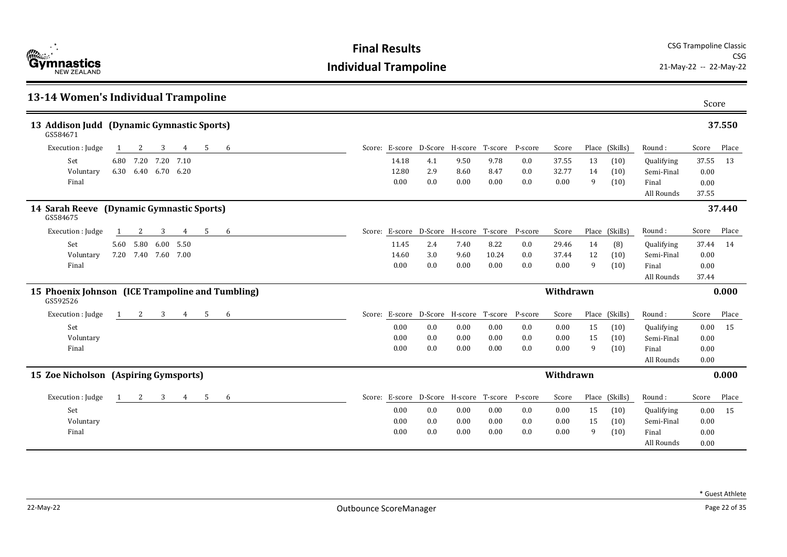| <b>Cymnastics</b><br>Gymnastics |
|---------------------------------|
|---------------------------------|

| 13-14 Women's Individual Trampoline                           |                                                                                        | Score                        |
|---------------------------------------------------------------|----------------------------------------------------------------------------------------|------------------------------|
| 13 Addison Judd (Dynamic Gymnastic Sports)<br>GS584671        |                                                                                        | 37.550                       |
| Execution : Judge<br>3<br>4<br>-5<br>-6<br>2                  | Score: E-score D-Score H-score T-score<br>P-score<br>Place (Skills)<br>Score<br>Round: | Place<br>Score               |
| 6.80 7.20<br>7.20<br>Set<br>7.10                              | 9.50<br>9.78<br>13<br>14.18<br>4.1<br>0.0<br>37.55<br>(10)                             | Qualifying<br>37.55<br>13    |
| 6.30 6.40 6.70 6.20<br>Voluntary                              | 12.80<br>2.9<br>8.47<br>0.0<br>32.77<br>8.60<br>14<br>(10)                             | Semi-Final<br>0.00           |
| Final                                                         | 0.0<br>0.0<br>0.00<br>9<br>0.00<br>0.00<br>0.00<br>(10)<br>Final                       | 0.00                         |
|                                                               |                                                                                        | All Rounds<br>37.55          |
| 14 Sarah Reeve (Dynamic Gymnastic Sports)<br>GS584675         |                                                                                        | 37.440                       |
| Execution : Judge<br>5<br>2<br>3<br>6<br>1<br>4               | Score: E-score D-Score H-score T-score<br>P-score<br>Score<br>Place (Skills)<br>Round: | Score<br>Place               |
| 5.80<br>Set<br>6.00<br>5.50<br>5.60                           | (8)<br>11.45<br>2.4<br>8.22<br>0.0<br>29.46<br>14<br>7.40                              | Qualifying<br>37.44<br>14    |
| Voluntary<br>7.20 7.40 7.60 7.00                              | 10.24<br>12<br>14.60<br>3.0<br>9.60<br>0.0<br>37.44<br>(10)                            | Semi-Final<br>0.00           |
| Final                                                         | 0.00<br>0.0<br>0.00<br>0.00<br>0.0<br>0.00<br>9<br>(10)<br>Final                       | 0.00                         |
|                                                               |                                                                                        | 37.44<br>All Rounds          |
| 15 Phoenix Johnson (ICE Trampoline and Tumbling)<br>GS592526  | Withdrawn                                                                              | 0.000                        |
| Execution : Judge<br>3<br>-5<br>2<br>$4^{\circ}$<br>6<br>1    | Score: E-score D-Score H-score T-score<br>P-score<br>Place (Skills)<br>Score<br>Round: | Score<br>Place               |
| Set                                                           | 0.00<br>15<br>0.0<br>0.00<br>0.00<br>0.0<br>0.00<br>(10)                               | $0.00\,$<br>15<br>Qualifying |
| Voluntary                                                     | 0.00<br>0.0<br>0.00<br>0.00<br>0.0<br>0.00<br>15<br>(10)                               | Semi-Final<br>0.00           |
| Final                                                         | 0.00<br>0.0<br>0.00<br>0.00<br>0.0<br>0.00<br>9<br>(10)<br>Final                       | 0.00                         |
|                                                               |                                                                                        | All Rounds<br>0.00           |
| 15 Zoe Nicholson (Aspiring Gymsports)                         | Withdrawn                                                                              | 0.000                        |
| Execution : Judge<br>2<br>3<br>$4\overline{ }$<br>5<br>1<br>6 | Score: E-score D-Score H-score T-score<br>P-score<br>Place (Skills)<br>Score<br>Round: | Score<br>Place               |
| Set                                                           | 0.00<br>0.0<br>0.00<br>0.00<br>0.0<br>0.00<br>15<br>(10)                               | 15<br>Qualifying<br>0.00     |
| Voluntary                                                     | 0.00<br>0.0<br>0.00<br>0.00<br>0.0<br>0.00<br>(10)<br>15                               | Semi-Final<br>0.00           |
| Final                                                         | 0.0<br>0.00<br>9<br>(10)<br>0.00<br>0.0<br>0.00<br>0.00<br>Final                       | 0.00                         |
|                                                               |                                                                                        | All Rounds<br>0.00           |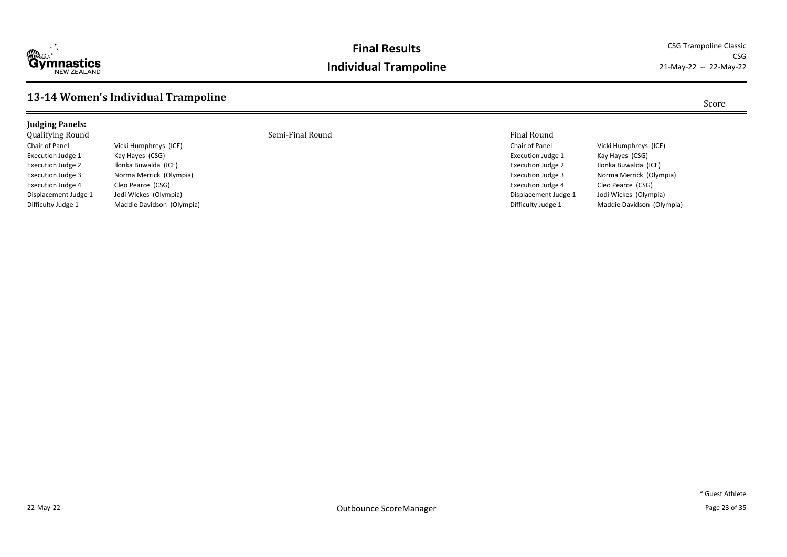

#### **Final Results** CSG Trampoline Classic **Individual Trampoline**

CSG<br>21-May-22 -- 22-May-22

#### **13-14 Women's Individual Trampoline** Score

Difficulty Judge 1 Maddie Davidson (Olympia)

#### **Judging Panels:** Qualifying Round Semi-Final Round Final Round Chair of Panel Vicki Humphreys (ICE) Execution Judge 1 Kay Hayes (CSG) Execution Judge 2 Ilonka Buwalda (ICE) Execution Judge 3 Norma Merrick (Olympia) Execution Judge 4 Cleo Pearce (CSG)<br>Displacement Judge 1 Jodi Wickes (Olym Jodi Wickes (Olympia)

Chair of Panel Vicki Humphreys (ICE) Execution Judge 1 Kay Hayes (CSG) Execution Judge 2 Ilonka Buwalda (ICE) Execution Judge 3 Norma Merrick (Olympia) Execution Judge 4 Cleo Pearce (CSG)<br>Displacement Judge 1 Jodi Wickes (Olym Jodi Wickes (Olympia) Difficulty Judge 1 Maddie Davidson (Olympia)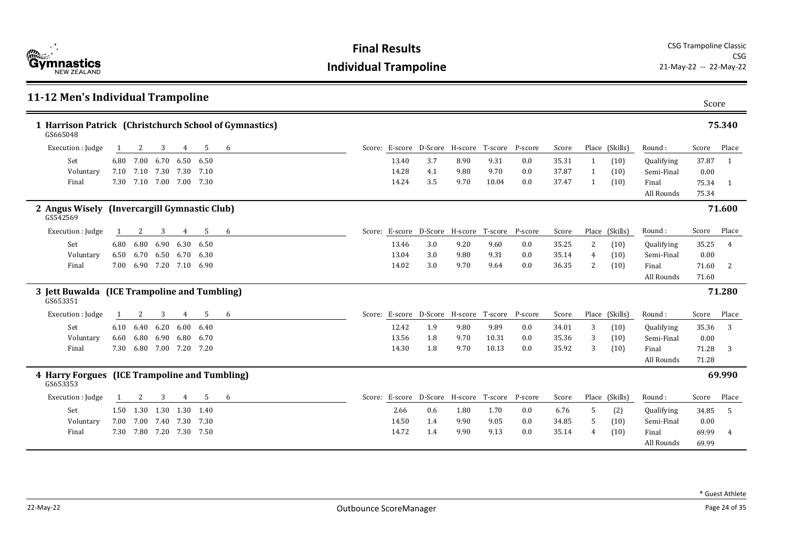

| 11-12 Men's Individual Trampoline                                  |      |      |                          |      |      |   |       |                                                |      |         |         |       |   |                |            | Score |                |
|--------------------------------------------------------------------|------|------|--------------------------|------|------|---|-------|------------------------------------------------|------|---------|---------|-------|---|----------------|------------|-------|----------------|
| 1 Harrison Patrick (Christchurch School of Gymnastics)<br>GS665048 |      |      |                          |      |      |   |       |                                                |      |         |         |       |   |                |            |       | 75.340         |
| Execution : Judge                                                  | 1    | 2    | 3                        | 4    | 5    | 6 |       | Score: E-score D-Score H-score T-score P-score |      |         |         | Score |   | Place (Skills) | Round:     | Score | Place          |
| Set                                                                | 6.80 | 7.00 | 6.70                     | 6.50 | 6.50 |   | 13.40 | 3.7                                            | 8.90 | 9.31    | 0.0     | 35.31 | 1 | (10)           | Qualifying | 37.87 | - 1            |
| Voluntary                                                          |      |      | 7.10 7.10 7.30 7.30 7.10 |      |      |   | 14.28 | 4.1                                            | 9.80 | 9.70    | 0.0     | 37.87 | 1 | (10)           | Semi-Final | 0.00  |                |
| Final                                                              | 7.30 |      | 7.10 7.00 7.00 7.30      |      |      |   | 14.24 | 3.5                                            | 9.70 | 10.04   | 0.0     | 37.47 | 1 | (10)           | Final      | 75.34 | $\overline{1}$ |
|                                                                    |      |      |                          |      |      |   |       |                                                |      |         |         |       |   |                | All Rounds | 75.34 |                |
| 2 Angus Wisely (Invercargill Gymnastic Club)<br>GS542569           |      |      |                          |      |      |   |       |                                                |      |         |         |       |   |                |            |       | 71.600         |
| Execution : Judge                                                  | 1    | 2    | 3                        | 4    | 5    | 6 |       | Score: E-score D-Score H-score T-score         |      |         | P-score | Score |   | Place (Skills) | Round:     | Score | Place          |
| Set                                                                | 6.80 | 6.80 | 6.90                     | 6.30 | 6.50 |   | 13.46 | 3.0                                            | 9.20 | 9.60    | 0.0     | 35.25 | 2 | (10)           | Qualifying | 35.25 | $\overline{4}$ |
| Voluntary                                                          | 6.50 | 6.70 | 6.50                     | 6.70 | 6.30 |   | 13.04 | 3.0                                            | 9.80 | 9.31    | 0.0     | 35.14 | 4 | (10)           | Semi-Final | 0.00  |                |
| Final                                                              | 7.00 |      | 6.90 7.20 7.10 6.90      |      |      |   | 14.02 | 3.0                                            | 9.70 | 9.64    | 0.0     | 36.35 | 2 | (10)           | Final      | 71.60 | -2             |
|                                                                    |      |      |                          |      |      |   |       |                                                |      |         |         |       |   |                | All Rounds | 71.60 |                |
| 3 Jett Buwalda (ICE Trampoline and Tumbling)<br>GS653351           |      |      |                          |      |      |   |       |                                                |      |         |         |       |   |                |            |       | 71.280         |
| Execution : Judge                                                  | 1    | 2    | 3                        | 4    | 5    | 6 |       | Score: E-score D-Score H-score                 |      | T-score | P-score | Score |   | Place (Skills) | Round:     | Score | Place          |
| Set                                                                | 6.10 | 6.40 | 6.20                     | 6.00 | 6.40 |   | 12.42 | 1.9                                            | 9.80 | 9.89    | 0.0     | 34.01 | 3 | (10)           | Qualifying | 35.36 | 3              |
| Voluntary                                                          | 6.60 | 6.80 | 6.90                     | 6.80 | 6.70 |   | 13.56 | 1.8                                            | 9.70 | 10.31   | 0.0     | 35.36 | 3 | (10)           | Semi-Final | 0.00  |                |
| Final                                                              | 7.30 |      | 6.80 7.00 7.20 7.20      |      |      |   | 14.30 | 1.8                                            | 9.70 | 10.13   | 0.0     | 35.92 | 3 | (10)           | Final      | 71.28 | 3              |
|                                                                    |      |      |                          |      |      |   |       |                                                |      |         |         |       |   |                | All Rounds | 71.28 |                |
| 4 Harry Forgues (ICE Trampoline and Tumbling)<br>GS653353          |      |      |                          |      |      |   |       |                                                |      |         |         |       |   |                |            |       | 69.990         |
| Execution : Judge                                                  |      |      | 3                        | 4    | 5    | 6 |       | Score: E-score D-Score H-score T-score         |      |         | P-score | Score |   | Place (Skills) | Round:     | Score | Place          |
| Set                                                                |      |      | 1.50 1.30 1.30 1.30 1.40 |      |      |   | 2.66  | 0.6                                            | 1.80 | 1.70    | 0.0     | 6.76  | 5 | (2)            | Qualifying | 34.85 | - 5            |
| Voluntary                                                          | 7.00 |      | 7.00 7.40 7.30 7.30      |      |      |   | 14.50 | 1.4                                            | 9.90 | 9.05    | 0.0     | 34.85 | 5 | (10)           | Semi-Final | 0.00  |                |
| Final                                                              | 7.30 |      | 7.80 7.20 7.30 7.50      |      |      |   | 14.72 | 1.4                                            | 9.90 | 9.13    | 0.0     | 35.14 | 4 | (10)           | Final      | 69.99 | 4              |
|                                                                    |      |      |                          |      |      |   |       |                                                |      |         |         |       |   |                | All Rounds | 69.99 |                |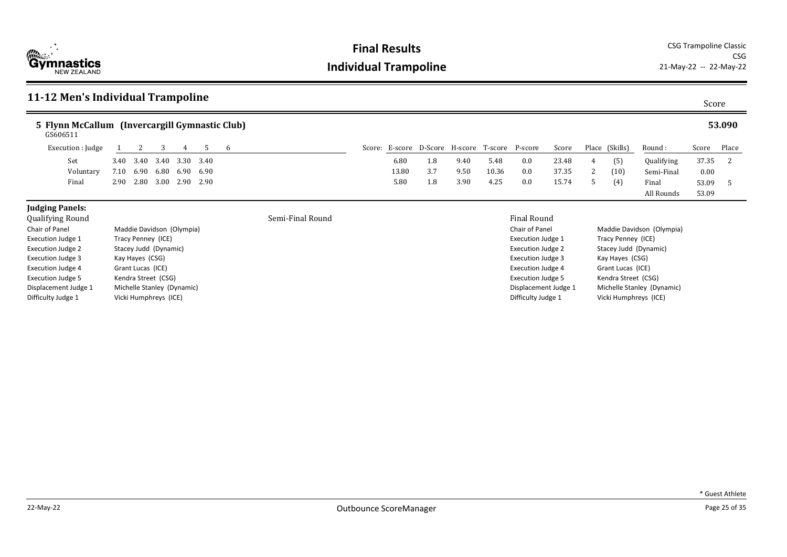

**Final Results** CSG Trampoline Classic CSG<br>21-May-22 -- 22-May-22

| 11-12 Men's Individual Trampoline                                                                                                                                                                                                                                                                                                                                                                                                          |      |      |      |      |                  |   |  |  |       |     |                                                                                                                                                                                                                         |       |                                                |                                                                                   | Score                                                                                                     |                |            |          |        |
|--------------------------------------------------------------------------------------------------------------------------------------------------------------------------------------------------------------------------------------------------------------------------------------------------------------------------------------------------------------------------------------------------------------------------------------------|------|------|------|------|------------------|---|--|--|-------|-----|-------------------------------------------------------------------------------------------------------------------------------------------------------------------------------------------------------------------------|-------|------------------------------------------------|-----------------------------------------------------------------------------------|-----------------------------------------------------------------------------------------------------------|----------------|------------|----------|--------|
| 5 Flynn McCallum (Invercargill Gymnastic Club)<br>GS606511                                                                                                                                                                                                                                                                                                                                                                                 |      |      |      |      |                  |   |  |  |       |     |                                                                                                                                                                                                                         |       |                                                |                                                                                   |                                                                                                           |                |            |          | 53.090 |
| Execution : Judge                                                                                                                                                                                                                                                                                                                                                                                                                          |      | 2    | 3    | 4    | 5                | 6 |  |  |       |     |                                                                                                                                                                                                                         |       | Score: E-score D-Score H-score T-score P-score | Score                                                                             |                                                                                                           | Place (Skills) | Round :    | Score    | Place  |
| Set                                                                                                                                                                                                                                                                                                                                                                                                                                        | 3.40 | 3.40 | 3.40 |      | 3.30 3.40        |   |  |  | 6.80  | 1.8 | 9.40                                                                                                                                                                                                                    | 5.48  | 0.0                                            | 23.48                                                                             | 4                                                                                                         | (5)            | Qualifying | 37.35    | 2      |
| Voluntary                                                                                                                                                                                                                                                                                                                                                                                                                                  | 7.10 | 6.90 | 6.80 | 6.90 | 6.90             |   |  |  | 13.80 | 3.7 | 9.50                                                                                                                                                                                                                    | 10.36 | 0.0                                            | 37.35                                                                             | 2                                                                                                         | (10)           | Semi-Final | $0.00\,$ |        |
| Final                                                                                                                                                                                                                                                                                                                                                                                                                                      | 2.90 | 2.80 | 3.00 |      | 2.90 2.90        |   |  |  | 5.80  | 1.8 | 3.90                                                                                                                                                                                                                    | 4.25  | 0.0                                            | 15.74                                                                             | $5 -$                                                                                                     | (4)            | Final      | 53.09    | 5      |
|                                                                                                                                                                                                                                                                                                                                                                                                                                            |      |      |      |      |                  |   |  |  |       |     |                                                                                                                                                                                                                         |       |                                                |                                                                                   |                                                                                                           |                | All Rounds | 53.09    |        |
| <b>Judging Panels:</b><br>Qualifying Round<br>Chair of Panel<br>Maddie Davidson (Olympia)<br>Execution Judge 1<br>Tracy Penney (ICE)<br><b>Execution Judge 2</b><br>Stacey Judd (Dynamic)<br>Execution Judge 3<br>Kay Hayes (CSG)<br><b>Execution Judge 4</b><br>Grant Lucas (ICE)<br><b>Execution Judge 5</b><br>Kendra Street (CSG)<br>Displacement Judge 1<br>Michelle Stanley (Dynamic)<br>Difficulty Judge 1<br>Vicki Humphreys (ICE) |      |      |      |      | Semi-Final Round |   |  |  |       |     | <b>Final Round</b><br>Chair of Panel<br><b>Execution Judge 1</b><br><b>Execution Judge 2</b><br>Execution Judge 3<br><b>Execution Judge 4</b><br><b>Execution Judge 5</b><br>Displacement Judge 1<br>Difficulty Judge 1 |       |                                                | Tracy Penney (ICE)<br>Kay Hayes (CSG)<br>Grant Lucas (ICE)<br>Kendra Street (CSG) | Maddie Davidson (Olympia)<br>Stacey Judd (Dynamic)<br>Michelle Stanley (Dynamic)<br>Vicki Humphreys (ICE) |                |            |          |        |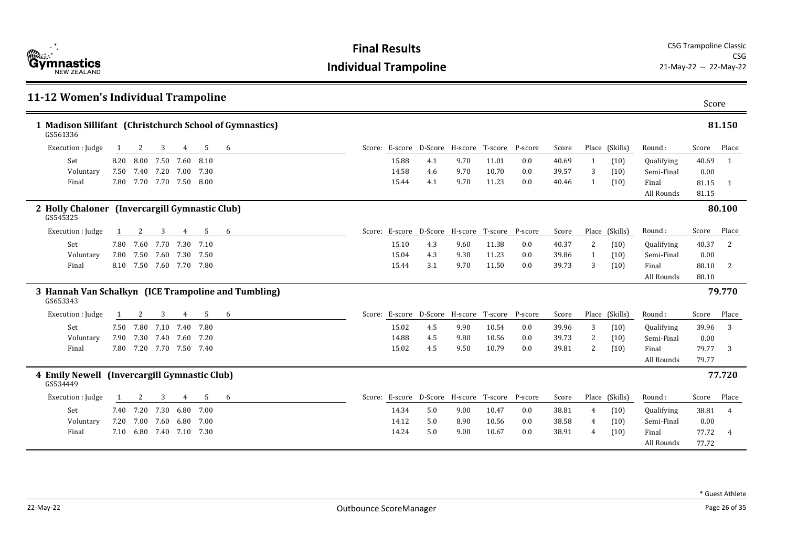

| 11-12 Women's Individual Trampoline                                 |      |                          |           |      |      |   |       |                                                |      |       |     |       |    |                |            | Score |                |
|---------------------------------------------------------------------|------|--------------------------|-----------|------|------|---|-------|------------------------------------------------|------|-------|-----|-------|----|----------------|------------|-------|----------------|
| 1 Madison Sillifant (Christchurch School of Gymnastics)<br>GS561336 |      |                          |           |      |      |   |       |                                                |      |       |     |       |    |                |            |       | 81.150         |
| Execution : Judge                                                   |      | 2                        | 3         | 4    | 5    | 6 |       | Score: E-score D-Score H-score T-score P-score |      |       |     | Score |    | Place (Skills) | Round:     | Score | Place          |
| Set                                                                 | 8.20 | 8.00                     | 7.50      | 7.60 | 8.10 |   | 15.88 | 4.1                                            | 9.70 | 11.01 | 0.0 | 40.69 | -1 | (10)           | Qualifying | 40.69 | -1             |
| Voluntary                                                           |      | 7.50 7.40 7.20 7.00 7.30 |           |      |      |   | 14.58 | 4.6                                            | 9.70 | 10.70 | 0.0 | 39.57 | 3  | (10)           | Semi-Final | 0.00  |                |
| Final                                                               |      | 7.80 7.70 7.70 7.50 8.00 |           |      |      |   | 15.44 | 4.1                                            | 9.70 | 11.23 | 0.0 | 40.46 | -1 | (10)           | Final      | 81.15 | -1             |
|                                                                     |      |                          |           |      |      |   |       |                                                |      |       |     |       |    |                | All Rounds | 81.15 |                |
| 2 Holly Chaloner (Invercargill Gymnastic Club)<br>GS545325          |      |                          |           |      |      |   |       |                                                |      |       |     |       |    |                |            |       | 80.100         |
| Execution : Judge                                                   |      | 2                        | 3         | 4    | -5   | 6 |       | Score: E-score D-Score H-score T-score P-score |      |       |     | Score |    | Place (Skills) | Round:     | Score | Place          |
| Set                                                                 |      | 7.80 7.60 7.70 7.30 7.10 |           |      |      |   | 15.10 | 4.3                                            | 9.60 | 11.38 | 0.0 | 40.37 | 2  | (10)           | Qualifying | 40.37 | 2              |
| Voluntary                                                           |      | 7.80 7.50                | 7.60      | 7.30 | 7.50 |   | 15.04 | 4.3                                            | 9.30 | 11.23 | 0.0 | 39.86 | 1  | (10)           | Semi-Final | 0.00  |                |
| Final                                                               |      | 8.10 7.50 7.60 7.70 7.80 |           |      |      |   | 15.44 | 3.1                                            | 9.70 | 11.50 | 0.0 | 39.73 | 3  | (10)           | Final      | 80.10 | 2              |
|                                                                     |      |                          |           |      |      |   |       |                                                |      |       |     |       |    |                | All Rounds | 80.10 |                |
| 3 Hannah Van Schalkyn (ICE Trampoline and Tumbling)<br>GS653343     |      |                          |           |      |      |   |       |                                                |      |       |     |       |    |                |            |       | 79.770         |
| Execution : Judge                                                   |      | 2                        | 3         | 4    | 5    | 6 |       | Score: E-score D-Score H-score T-score P-score |      |       |     | Score |    | Place (Skills) | Round:     | Score | Place          |
| Set                                                                 |      | 7.50 7.80 7.10 7.40      |           |      | 7.80 |   | 15.02 | 4.5                                            | 9.90 | 10.54 | 0.0 | 39.96 | 3  | (10)           | Qualifying | 39.96 | 3              |
| Voluntary                                                           | 7.90 | 7.30                     | 7.40 7.60 |      | 7.20 |   | 14.88 | 4.5                                            | 9.80 | 10.56 | 0.0 | 39.73 | 2  | (10)           | Semi-Final | 0.00  |                |
| Final                                                               |      | 7.80 7.20 7.70 7.50 7.40 |           |      |      |   | 15.02 | 4.5                                            | 9.50 | 10.79 | 0.0 | 39.81 | 2  | (10)           | Final      | 79.77 | 3              |
|                                                                     |      |                          |           |      |      |   |       |                                                |      |       |     |       |    |                | All Rounds | 79.77 |                |
| 4 Emily Newell (Invercargill Gymnastic Club)<br>GS534449            |      |                          |           |      |      |   |       |                                                |      |       |     |       |    |                |            |       | 77.720         |
| Execution : Judge                                                   |      | 2                        | 3         | 4    | 5    | 6 |       | Score: E-score D-Score H-score T-score P-score |      |       |     | Score |    | Place (Skills) | Round:     | Score | Place          |
| Set                                                                 |      | 7.40 7.20                | 7.30      | 6.80 | 7.00 |   | 14.34 | 5.0                                            | 9.00 | 10.47 | 0.0 | 38.81 | 4  | (10)           | Qualifying | 38.81 | $\overline{4}$ |
| Voluntary                                                           |      | 7.20 7.00 7.60 6.80      |           |      | 7.00 |   | 14.12 | 5.0                                            | 8.90 | 10.56 | 0.0 | 38.58 | 4  | (10)           | Semi-Final | 0.00  |                |
| Final                                                               |      | 7.10 6.80 7.40 7.10 7.30 |           |      |      |   | 14.24 | 5.0                                            | 9.00 | 10.67 | 0.0 | 38.91 | 4  | (10)           | Final      | 77.72 | $\overline{4}$ |
|                                                                     |      |                          |           |      |      |   |       |                                                |      |       |     |       |    |                | All Rounds | 77.72 |                |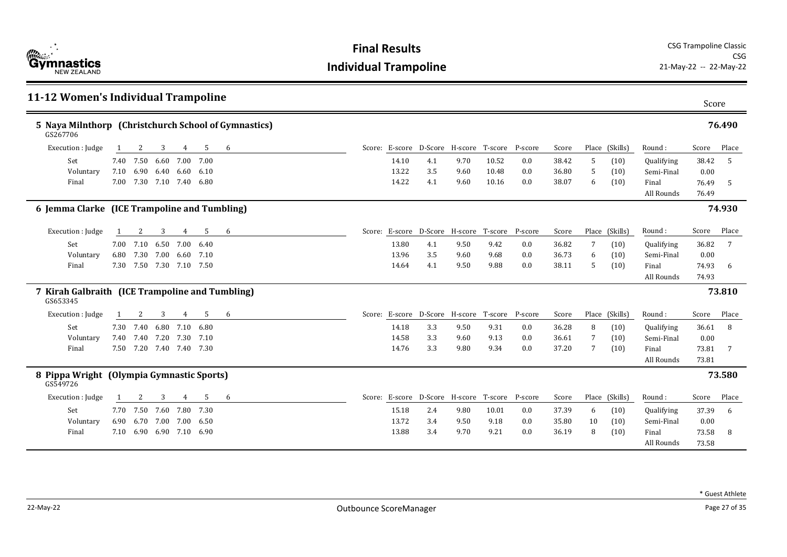

| 5 Naya Milnthorp (Christchurch School of Gymnastics)<br>GS267706                                                                                       |       |        |
|--------------------------------------------------------------------------------------------------------------------------------------------------------|-------|--------|
|                                                                                                                                                        |       | 76.490 |
| 5<br>6<br>Score: E-score D-Score H-score T-score<br>Place (Skills)<br>Execution : Judge<br>P-score<br>Score<br>Round:<br>2<br>3<br>4                   | Score | Place  |
| Set<br>7.50<br>6.60<br>7.00<br>7.00<br>14.10<br>4.1<br>9.70<br>10.52<br>0.0<br>38.42<br>Qualifying<br>7.40<br>5<br>(10)                                | 38.42 | -5     |
| 13.22<br>3.5<br>10.48<br>Semi-Final<br>Voluntary<br>7.10<br>6.90 6.40 6.60<br>0.0<br>36.80<br>5<br>(10)<br>-6.10<br>9.60                               | 0.00  |        |
| 7.00 7.30 7.10 7.40 6.80<br>14.22<br>38.07<br>Final<br>4.1<br>9.60<br>10.16<br>0.0<br>(10)<br>6<br>Final                                               | 76.49 | -5     |
| All Rounds                                                                                                                                             | 76.49 |        |
| 6 Jemma Clarke (ICE Trampoline and Tumbling)                                                                                                           |       | 74.930 |
| Execution : Judge<br>Score: E-score D-Score H-score T-score<br>Place (Skills)<br>3<br>$\overline{4}$<br>5<br>6<br>P-score<br>Score<br>Round:<br>2<br>1 | Score | Place  |
| 6.50<br>7.00 6.40<br>13.80<br>9.42<br>Set<br>7.00 7.10<br>4.1<br>9.50<br>0.0<br>36.82<br>7<br>(10)<br>Qualifying                                       | 36.82 | 7      |
| 7.30<br>13.96<br>Voluntary<br>6.80<br>7.00<br>6.60<br>3.5<br>9.68<br>0.0<br>36.73<br>Semi-Final<br>7.10<br>9.60<br>6<br>(10)                           | 0.00  |        |
| 7.50 7.30 7.10 7.50<br>14.64<br>9.88<br>38.11<br>Final<br>7.30<br>4.1<br>9.50<br>0.0<br>5<br>(10)<br>Final                                             | 74.93 | -6     |
| All Rounds                                                                                                                                             | 74.93 |        |
| 7 Kirah Galbraith (ICE Trampoline and Tumbling)<br>GS653345                                                                                            |       | 73.810 |
| 5<br>Score: E-score D-Score H-score T-score<br>Place (Skills)<br>Execution : Judge<br>3<br>4<br>6<br>P-score<br>Score<br>Round:<br>2                   | Score | Place  |
| Set<br>7.30 7.40<br>6.80<br>7.10<br>14.18<br>3.3<br>9.50<br>9.31<br>0.0<br>36.28<br>8<br>Qualifying<br>6.80<br>(10)                                    | 36.61 | -8     |
| 14.58<br>3.3<br>9.13<br>Voluntary<br>7.40<br>7.40<br>7.20<br>7.30<br>9.60<br>0.0<br>36.61<br>Semi-Final<br>7.10<br>7<br>(10)                           | 0.00  |        |
| 7.50 7.20 7.40 7.40 7.30<br>14.76<br>3.3<br>9.34<br>0.0<br>37.20<br>Final<br>9.80<br>7<br>(10)<br>Final                                                | 73.81 | - 7    |
| All Rounds                                                                                                                                             | 73.81 |        |
| 8 Pippa Wright (Olympia Gymnastic Sports)<br>GS549726                                                                                                  |       | 73.580 |
| 3<br>5<br>D-Score H-score T-score<br>P-score<br>Place (Skills)<br>Execution : Judge<br>$\overline{4}$<br>6<br>Score: E-score<br>Score<br>Round:<br>2   | Score | Place  |
| Set<br>7.50 7.60<br>7.80<br>15.18<br>2.4<br>9.80<br>10.01<br>0.0<br>Qualifying<br>7.70<br>7.30<br>37.39<br>6<br>(10)                                   | 37.39 | -6     |
| 6.70<br>3.4<br>9.18<br>Voluntary<br>6.90<br>7.00 7.00<br>6.50<br>13.72<br>9.50<br>0.0<br>35.80<br>10<br>(10)<br>Semi-Final                             | 0.00  |        |
| 13.88<br>3.4<br>8<br>7.10<br>6.90 6.90 7.10 6.90<br>9.70<br>9.21<br>0.0<br>36.19<br>(10)<br>Final<br>Final                                             | 73.58 | 8      |
| All Rounds                                                                                                                                             | 73.58 |        |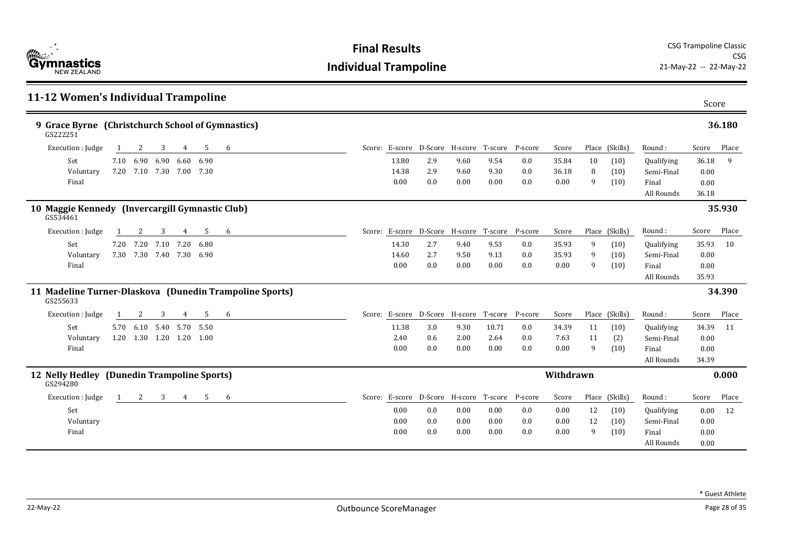| <b>Example 1</b><br><b>Gymnastics</b><br><b>NFW 7FAI AND</b> |
|--------------------------------------------------------------|
|--------------------------------------------------------------|

| 11-12 Women's Individual Trampoline<br>Score                            |  |                |                                                |      |       |         |           |    |                |            |       |        |  |  |
|-------------------------------------------------------------------------|--|----------------|------------------------------------------------|------|-------|---------|-----------|----|----------------|------------|-------|--------|--|--|
| 9 Grace Byrne (Christchurch School of Gymnastics)<br>36.180<br>GS222251 |  |                |                                                |      |       |         |           |    |                |            |       |        |  |  |
| Execution : Judge<br>5<br>3<br>$\overline{4}$<br>6<br>2                 |  |                | Score: E-score D-Score H-score T-score P-score |      |       |         | Score     |    | Place (Skills) | Round:     | Score | Place  |  |  |
| 6.90 6.90<br>6.60 6.90<br>Set<br>7.10                                   |  | 13.80          | 2.9                                            | 9.60 | 9.54  | 0.0     | 35.84     | 10 | (10)           | Qualifying | 36.18 | 9      |  |  |
| 7.10 7.30 7.00 7.30<br>Voluntary<br>7.20                                |  | 14.38          | 2.9                                            | 9.60 | 9.30  | 0.0     | 36.18     | 8  | (10)           | Semi-Final | 0.00  |        |  |  |
| Final                                                                   |  | 0.00           | 0.0                                            | 0.00 | 0.00  | 0.0     | 0.00      | 9  | (10)           | Final      | 0.00  |        |  |  |
|                                                                         |  |                |                                                |      |       |         |           |    |                | All Rounds | 36.18 |        |  |  |
| 10 Maggie Kennedy (Invercargill Gymnastic Club)<br>GS534461             |  |                |                                                |      |       |         |           |    |                |            |       | 35.930 |  |  |
| 5<br>Execution : Judge<br>2<br>3<br>6<br>4                              |  |                | Score: E-score D-Score H-score T-score         |      |       | P-score | Score     |    | Place (Skills) | Round:     | Score | Place  |  |  |
| 7.20<br>Set<br>7.20<br>7.20<br>7.10<br>6.80                             |  | 14.30          | 2.7                                            | 9.40 | 9.53  | 0.0     | 35.93     | 9  | (10)           | Qualifying | 35.93 | 10     |  |  |
| 7.30<br>7.30 7.40 7.30 6.90<br>Voluntary                                |  | 14.60          | 2.7                                            | 9.50 | 9.13  | 0.0     | 35.93     | 9  | (10)           | Semi-Final | 0.00  |        |  |  |
| Final                                                                   |  | 0.00           | 0.0                                            | 0.00 | 0.00  | 0.0     | 0.00      | 9  | (10)           | Final      | 0.00  |        |  |  |
|                                                                         |  |                |                                                |      |       |         |           |    |                | All Rounds | 35.93 |        |  |  |
| 11 Madeline Turner-Dlaskova (Dunedin Trampoline Sports)<br>GS255633     |  |                |                                                |      |       |         |           |    |                |            |       | 34.390 |  |  |
| Execution : Judge<br>3<br>5<br>2<br>4<br>6<br>1                         |  |                | Score: E-score D-Score H-score T-score P-score |      |       |         | Score     |    | Place (Skills) | Round:     | Score | Place  |  |  |
| Set<br>6.10<br>5.40<br>5.70 5.50<br>5.70                                |  | 11.38          | 3.0                                            | 9.30 | 10.71 | 0.0     | 34.39     | 11 | (10)           | Qualifying | 34.39 | 11     |  |  |
| 1.20 1.30 1.20 1.20 1.00<br>Voluntary                                   |  | 2.40           | 0.6                                            | 2.00 | 2.64  | 0.0     | 7.63      | 11 | (2)            | Semi-Final | 0.00  |        |  |  |
| Final                                                                   |  | 0.00           | 0.0                                            | 0.00 | 0.00  | 0.0     | 0.00      | 9  | (10)           | Final      | 0.00  |        |  |  |
|                                                                         |  |                |                                                |      |       |         |           |    |                | All Rounds | 34.39 |        |  |  |
| 12 Nelly Hedley (Dunedin Trampoline Sports)<br>GS294280                 |  |                |                                                |      |       |         | Withdrawn |    |                |            |       | 0.000  |  |  |
| Execution : Judge<br>3<br>5<br>2<br>4<br>6                              |  | Score: E-score | D-Score H-score T-score                        |      |       | P-score | Score     |    | Place (Skills) | Round:     | Score | Place  |  |  |
| Set                                                                     |  | 0.00           | 0.0                                            | 0.00 | 0.00  | 0.0     | 0.00      | 12 | (10)           | Qualifying | 0.00  | 12     |  |  |
| Voluntary                                                               |  | 0.00           | 0.0                                            | 0.00 | 0.00  | 0.0     | 0.00      | 12 | (10)           | Semi-Final | 0.00  |        |  |  |
| Final                                                                   |  | 0.00           | 0.0                                            | 0.00 | 0.00  | 0.0     | 0.00      | 9  | (10)           | Final      | 0.00  |        |  |  |
|                                                                         |  |                |                                                |      |       |         |           |    |                | All Rounds | 0.00  |        |  |  |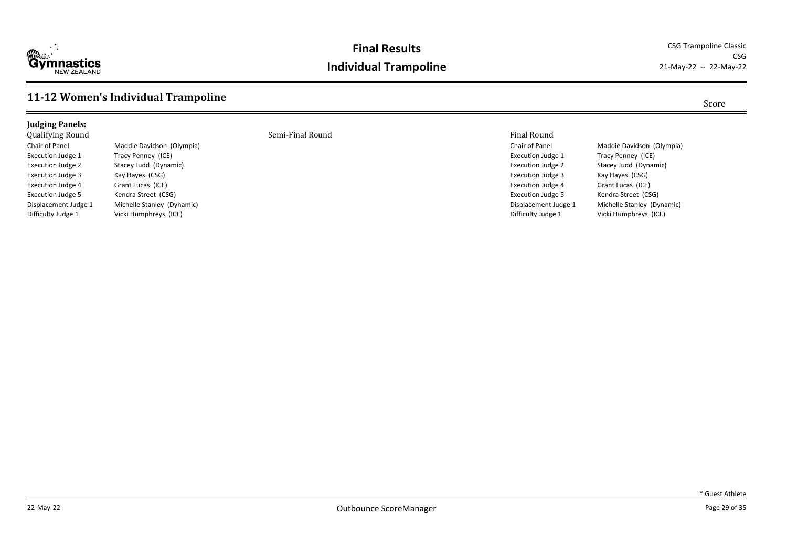

#### **Final Results** CSG Trampoline Classic **Individual Trampoline**

CSG<br>21-May-22 -- 22-May-22

#### **11-12 Women's Individual Trampoline** Score

#### **Judging Panels:** Qualifying Round Semi-Final Round Final Round Chair of Panel Maddie Davidson (Olympia) Execution Judge 1 Tracy Penney (ICE) Execution Judge 2 Stacey Judd (Dynamic) Execution Judge 3 Kay Hayes (CSG) Execution Judge 4 Grant Lucas (ICE) Execution Judge 5 Kendra Street (CSG) Displacement Judge 1 Michelle Stanley (Dynamic) Difficulty Judge 1 Vicki Humphreys (ICE)

Chair of Panel Maddie Davidson (Olympia) Execution Judge 1 Tracy Penney (ICE) Execution Judge 2 Stacey Judd (Dynamic) Execution Judge 3 Kay Hayes (CSG) Execution Judge 4 Grant Lucas (ICE) Execution Judge 5 Kendra Street (CSG) Displacement Judge 1 Michelle Stanley (Dynamic) Difficulty Judge 1 Vicki Humphreys (ICE)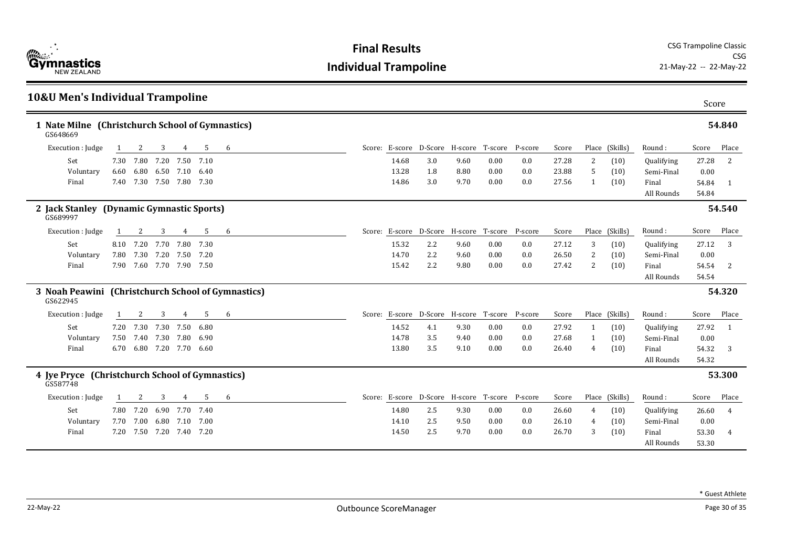

| <b>10&amp;U Men's Individual Trampoline</b>                    |      |      |                          |                |      |   |                                        |                 |      |         |         |       |              |                |            | Score |              |
|----------------------------------------------------------------|------|------|--------------------------|----------------|------|---|----------------------------------------|-----------------|------|---------|---------|-------|--------------|----------------|------------|-------|--------------|
| 1 Nate Milne (Christchurch School of Gymnastics)<br>GS648669   |      |      |                          |                |      |   |                                        |                 |      |         |         |       |              |                |            |       | 54.840       |
| Execution : Judge                                              | 1    | 2    | 3                        | 4              | 5    | 6 | Score: E-score D-Score H-score T-score |                 |      |         | P-score | Score |              | Place (Skills) | Round:     | Score | Place        |
| Set                                                            | 7.30 | 7.80 | 7.20                     | 7.50           | 7.10 |   | 14.68                                  | 3.0             | 9.60 | 0.00    | 0.0     | 27.28 | 2            | (10)           | Qualifying | 27.28 | <sup>2</sup> |
| Voluntary                                                      | 6.60 |      | 6.80 6.50 7.10 6.40      |                |      |   | 13.28                                  | 1.8             | 8.80 | 0.00    | 0.0     | 23.88 | 5            | (10)           | Semi-Final | 0.00  |              |
| Final                                                          |      |      | 7.40 7.30 7.50 7.80 7.30 |                |      |   | 14.86                                  | 3.0             | 9.70 | 0.00    | 0.0     | 27.56 | $\mathbf{1}$ | (10)           | Final      | 54.84 | - 1          |
|                                                                |      |      |                          |                |      |   |                                        |                 |      |         |         |       |              |                | All Rounds | 54.84 |              |
| 2 Jack Stanley (Dynamic Gymnastic Sports)<br>GS689997          |      |      |                          |                |      |   |                                        |                 |      |         |         |       |              |                |            |       | 54.540       |
| Execution : Judge                                              | 1    | 2    | 3                        | 4              | 5    | 6 | Score: E-score D-Score H-score T-score |                 |      |         | P-score | Score |              | Place (Skills) | Round:     | Score | Place        |
| Set                                                            |      |      | 8.10 7.20 7.70 7.80 7.30 |                |      |   | 15.32                                  | 2.2             | 9.60 | 0.00    | 0.0     | 27.12 | 3            | (10)           | Qualifying | 27.12 | 3            |
| Voluntary                                                      | 7.80 | 7.30 | 7.20                     | 7.50           | 7.20 |   | 14.70                                  | 2.2             | 9.60 | 0.00    | 0.0     | 26.50 | 2            | (10)           | Semi-Final | 0.00  |              |
| Final                                                          | 7.90 |      | 7.60 7.70 7.90 7.50      |                |      |   | 15.42                                  | 2.2             | 9.80 | 0.00    | 0.0     | 27.42 | 2            | (10)           | Final      | 54.54 | -2           |
|                                                                |      |      |                          |                |      |   |                                        |                 |      |         |         |       |              |                | All Rounds | 54.54 |              |
| 3 Noah Peawini (Christchurch School of Gymnastics)<br>GS622945 |      |      |                          |                |      |   |                                        |                 |      |         |         |       |              |                |            |       | 54.320       |
| Execution : Judge                                              | -1   | 2    | 3                        | 4              | 5    | 6 | Score: E-score D-Score H-score         |                 |      | T-score | P-score | Score |              | Place (Skills) | Round:     | Score | Place        |
| Set                                                            |      |      | 7.20 7.30 7.30           | 7.50           | 6.80 |   | 14.52                                  | 4.1             | 9.30 | 0.00    | 0.0     | 27.92 | 1            | (10)           | Qualifying | 27.92 | -1           |
| Voluntary                                                      | 7.50 | 7.40 | 7.30                     | 7.80           | 6.90 |   | 14.78                                  | 3.5             | 9.40 | 0.00    | 0.0     | 27.68 | 1            | (10)           | Semi-Final | 0.00  |              |
| Final                                                          | 6.70 |      | 6.80 7.20 7.70 6.60      |                |      |   | 13.80                                  | 3.5             | 9.10 | 0.00    | 0.0     | 26.40 | 4            | (10)           | Final      | 54.32 | -3           |
|                                                                |      |      |                          |                |      |   |                                        |                 |      |         |         |       |              |                | All Rounds | 54.32 |              |
| 4 Jye Pryce (Christchurch School of Gymnastics)<br>GS587748    |      |      |                          |                |      |   |                                        |                 |      |         |         |       |              |                |            |       | 53.300       |
| Execution : Judge                                              |      |      | 3                        | $\overline{4}$ | 5    | 6 | Score: E-score                         | D-Score H-score |      | T-score | P-score | Score |              | Place (Skills) | Round:     | Score | Place        |
| Set                                                            | 7.80 | 7.20 | 6.90                     | 7.70 7.40      |      |   | 14.80                                  | 2.5             | 9.30 | 0.00    | 0.0     | 26.60 | 4            | (10)           | Qualifying | 26.60 | 4            |
| Voluntary                                                      | 7.70 | 7.00 | 6.80 7.10                |                | 7.00 |   | 14.10                                  | 2.5             | 9.50 | 0.00    | 0.0     | 26.10 | 4            | (10)           | Semi-Final | 0.00  |              |
| Final                                                          |      |      | 7.20 7.50 7.20 7.40 7.20 |                |      |   | 14.50                                  | 2.5             | 9.70 | 0.00    | 0.0     | 26.70 | 3            | (10)           | Final      | 53.30 | 4            |
|                                                                |      |      |                          |                |      |   |                                        |                 |      |         |         |       |              |                | All Rounds | 53.30 |              |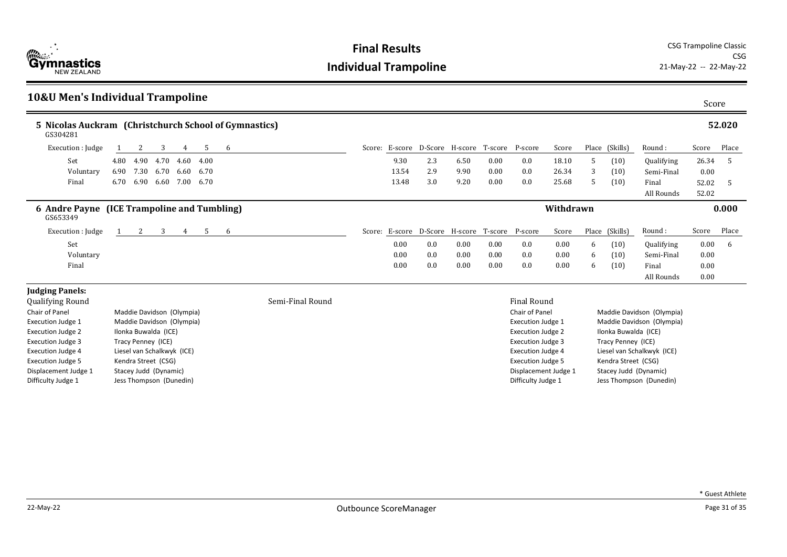

| <b>10&amp;U Men's Individual Trampoline</b>                       |      |                            |      |      |      |   |                  |       |     |      |                                        |                                                |           |   |                      |                            | Score |        |
|-------------------------------------------------------------------|------|----------------------------|------|------|------|---|------------------|-------|-----|------|----------------------------------------|------------------------------------------------|-----------|---|----------------------|----------------------------|-------|--------|
| 5 Nicolas Auckram (Christchurch School of Gymnastics)<br>GS304281 |      |                            |      |      |      |   |                  |       |     |      |                                        |                                                |           |   |                      |                            |       | 52.020 |
| Execution : Judge                                                 |      |                            | 3    | 4    | -5   | 6 |                  |       |     |      |                                        | Score: E-score D-Score H-score T-score P-score | Score     |   | Place (Skills)       | Round:                     | Score | Place  |
| Set                                                               | 4.80 | 4.90                       | 4.70 | 4.60 | 4.00 |   |                  | 9.30  | 2.3 | 6.50 | 0.00                                   | 0.0                                            | 18.10     | 5 | (10)                 | Qualifying                 | 26.34 | -5     |
| Voluntary                                                         | 6.90 | 7.30                       | 6.70 | 6.60 | 6.70 |   |                  | 13.54 | 2.9 | 9.90 | 0.00                                   | 0.0                                            | 26.34     | 3 | (10)                 | Semi-Final                 | 0.00  |        |
| Final                                                             | 6.70 | 6.90                       | 6.60 | 7.00 | 6.70 |   |                  | 13.48 | 3.0 | 9.20 | 0.00                                   | 0.0                                            | 25.68     | 5 | (10)                 | Final                      | 52.02 | -5     |
|                                                                   |      |                            |      |      |      |   |                  |       |     |      |                                        |                                                |           |   |                      | All Rounds                 | 52.02 |        |
| 6 Andre Payne (ICE Trampoline and Tumbling)<br>GS653349           |      |                            |      |      |      |   |                  |       |     |      |                                        |                                                | Withdrawn |   |                      |                            |       | 0.000  |
| Execution : Judge                                                 |      | 2                          | 3    | 4    | 5    | 6 |                  |       |     |      | Score: E-score D-Score H-score T-score | P-score                                        | Score     |   | Place (Skills)       | Round:                     | Score | Place  |
| Set                                                               |      |                            |      |      |      |   |                  | 0.00  | 0.0 | 0.00 | 0.00                                   | 0.0                                            | 0.00      | 6 | (10)                 | Qualifying                 | 0.00  | - 6    |
| Voluntary                                                         |      |                            |      |      |      |   |                  | 0.00  | 0.0 | 0.00 | 0.00                                   | 0.0                                            | 0.00      | 6 | (10)                 | Semi-Final                 | 0.00  |        |
| Final                                                             |      |                            |      |      |      |   |                  | 0.00  | 0.0 | 0.00 | 0.00                                   | 0.0                                            | 0.00      | 6 | (10)                 | Final                      | 0.00  |        |
|                                                                   |      |                            |      |      |      |   |                  |       |     |      |                                        |                                                |           |   |                      | All Rounds                 | 0.00  |        |
| <b>Judging Panels:</b>                                            |      |                            |      |      |      |   |                  |       |     |      |                                        |                                                |           |   |                      |                            |       |        |
| Qualifying Round                                                  |      |                            |      |      |      |   | Semi-Final Round |       |     |      |                                        | <b>Final Round</b>                             |           |   |                      |                            |       |        |
| Chair of Panel                                                    |      | Maddie Davidson (Olympia)  |      |      |      |   |                  |       |     |      |                                        | Chair of Panel                                 |           |   |                      | Maddie Davidson (Olympia)  |       |        |
| <b>Execution Judge 1</b>                                          |      | Maddie Davidson (Olympia)  |      |      |      |   |                  |       |     |      |                                        | <b>Execution Judge 1</b>                       |           |   |                      | Maddie Davidson (Olympia)  |       |        |
| <b>Execution Judge 2</b>                                          |      | Ilonka Buwalda (ICE)       |      |      |      |   |                  |       |     |      |                                        | <b>Execution Judge 2</b>                       |           |   | Ilonka Buwalda (ICE) |                            |       |        |
| <b>Execution Judge 3</b>                                          |      | Tracy Penney (ICE)         |      |      |      |   |                  |       |     |      |                                        | <b>Execution Judge 3</b>                       |           |   | Tracy Penney (ICE)   |                            |       |        |
| <b>Execution Judge 4</b>                                          |      | Liesel van Schalkwyk (ICE) |      |      |      |   |                  |       |     |      |                                        | <b>Execution Judge 4</b>                       |           |   |                      | Liesel van Schalkwyk (ICE) |       |        |

Execution Judge 5 Kendra Street (CSG)<br>Displacement Judge 1 Stacey Judd (Dynami Displacement Judge 1 Stacey Judd (Dynamic)<br>Difficulty Judge 1 Jess Thompson (Duned

Jess Thompson (Dunedin)

Execution Judge 5 Kendra Street (CSG)<br>Displacement Judge 1 Stacey Judd (Dynami Displacement Judge 1 Stacey Judd (Dynamic)<br>Difficulty Judge 1 Jess Thompson (Dunec

Jess Thompson (Dunedin)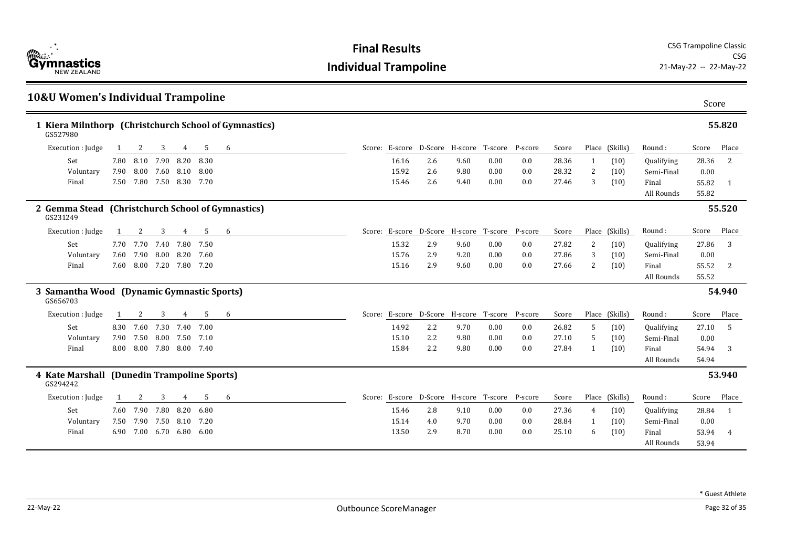

| <b>10&amp;U Women's Individual Trampoline</b>                     |      |                          |           |      |      |   |       |                                                |      |         |         |       |    |                |            | Score |        |
|-------------------------------------------------------------------|------|--------------------------|-----------|------|------|---|-------|------------------------------------------------|------|---------|---------|-------|----|----------------|------------|-------|--------|
| 1 Kiera Milnthorp (Christchurch School of Gymnastics)<br>GS527980 |      |                          |           |      |      |   |       |                                                |      |         |         |       |    |                |            |       | 55.820 |
| Execution : Judge                                                 | -1   | 2                        | 3         | 4    | 5    | 6 |       | Score: E-score D-Score H-score T-score P-score |      |         |         | Score |    | Place (Skills) | Round:     | Score | Place  |
| Set                                                               |      | 7.80 8.10                | 7.90 8.20 |      | 8.30 |   | 16.16 | 2.6                                            | 9.60 | 0.00    | 0.0     | 28.36 | -1 | (10)           | Qualifying | 28.36 | 2      |
| Voluntary                                                         |      | 7.90 8.00 7.60 8.10      |           |      | 8.00 |   | 15.92 | 2.6                                            | 9.80 | 0.00    | 0.0     | 28.32 | 2  | (10)           | Semi-Final | 0.00  |        |
| Final                                                             |      | 7.50 7.80 7.50 8.30 7.70 |           |      |      |   | 15.46 | 2.6                                            | 9.40 | 0.00    | 0.0     | 27.46 | 3  | (10)           | Final      | 55.82 | -1     |
|                                                                   |      |                          |           |      |      |   |       |                                                |      |         |         |       |    |                | All Rounds | 55.82 |        |
| 2 Gemma Stead (Christchurch School of Gymnastics)<br>GS231249     |      |                          |           |      |      |   |       |                                                |      |         |         |       |    |                |            |       | 55.520 |
| Execution : Judge                                                 |      | 2                        | 3         | 4    | -5   | 6 |       | Score: E-score D-Score H-score T-score         |      |         | P-score | Score |    | Place (Skills) | Round:     | Score | Place  |
| Set                                                               |      | 7.70 7.70 7.40 7.80 7.50 |           |      |      |   | 15.32 | 2.9                                            | 9.60 | 0.00    | 0.0     | 27.82 | 2  | (10)           | Qualifying | 27.86 | 3      |
| Voluntary                                                         | 7.60 | 7.90                     | 8.00 8.20 |      | 7.60 |   | 15.76 | 2.9                                            | 9.20 | 0.00    | 0.0     | 27.86 | 3  | (10)           | Semi-Final | 0.00  |        |
| Final                                                             |      | 7.60 8.00 7.20 7.80 7.20 |           |      |      |   | 15.16 | 2.9                                            | 9.60 | 0.00    | 0.0     | 27.66 | 2  | (10)           | Final      | 55.52 | 2      |
|                                                                   |      |                          |           |      |      |   |       |                                                |      |         |         |       |    |                | All Rounds | 55.52 |        |
| 3 Samantha Wood (Dynamic Gymnastic Sports)<br>GS656703            |      |                          |           |      |      |   |       |                                                |      |         |         |       |    |                |            |       | 54.940 |
| Execution : Judge                                                 |      | 2                        | 3         | 4    | 5    | 6 |       | Score: E-score D-Score H-score                 |      | T-score | P-score | Score |    | Place (Skills) | Round:     | Score | Place  |
| Set                                                               |      | 8.30 7.60 7.30 7.40      |           |      | 7.00 |   | 14.92 | 2.2                                            | 9.70 | 0.00    | 0.0     | 26.82 | 5  | (10)           | Qualifying | 27.10 | -5     |
| Voluntary                                                         | 7.90 | 7.50 8.00 7.50 7.10      |           |      |      |   | 15.10 | 2.2                                            | 9.80 | 0.00    | 0.0     | 27.10 | -5 | (10)           | Semi-Final | 0.00  |        |
| Final                                                             |      | 8.00 8.00 7.80 8.00 7.40 |           |      |      |   | 15.84 | 2.2                                            | 9.80 | 0.00    | 0.0     | 27.84 | -1 | (10)           | Final      | 54.94 | 3      |
|                                                                   |      |                          |           |      |      |   |       |                                                |      |         |         |       |    |                | All Rounds | 54.94 |        |
| 4 Kate Marshall (Dunedin Trampoline Sports)<br>GS294242           |      |                          |           |      |      |   |       |                                                |      |         |         |       |    |                |            |       | 53.940 |
| Execution : Judge                                                 |      | 2                        | 3         | 4    | 5    | 6 |       | Score: E-score D-Score H-score T-score         |      |         | P-score | Score |    | Place (Skills) | Round:     | Score | Place  |
| Set                                                               |      | 7.60 7.90                | 7.80      | 8.20 | 6.80 |   | 15.46 | 2.8                                            | 9.10 | 0.00    | 0.0     | 27.36 | 4  | (10)           | Qualifying | 28.84 | -1     |
| Voluntary                                                         | 7.50 | 7.90                     | 7.50 8.10 |      | 7.20 |   | 15.14 | 4.0                                            | 9.70 | 0.00    | 0.0     | 28.84 | -1 | (10)           | Semi-Final | 0.00  |        |
| Final                                                             |      | 6.90 7.00 6.70 6.80      |           |      | 6.00 |   | 13.50 | 2.9                                            | 8.70 | 0.00    | 0.0     | 25.10 | 6  | (10)           | Final      | 53.94 | 4      |
|                                                                   |      |                          |           |      |      |   |       |                                                |      |         |         |       |    |                | All Rounds | 53.94 |        |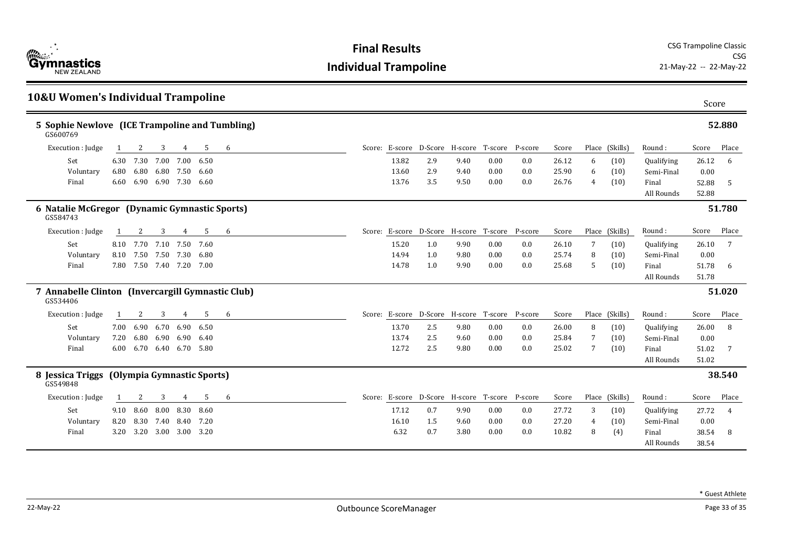

| <b>10&amp;U Women's Individual Trampoline</b>                 |      |                          |                |      |                            |   |       |                                                |      |      |         |       |    |                |                     | Score          |                |
|---------------------------------------------------------------|------|--------------------------|----------------|------|----------------------------|---|-------|------------------------------------------------|------|------|---------|-------|----|----------------|---------------------|----------------|----------------|
| 5 Sophie Newlove (ICE Trampoline and Tumbling)<br>GS600769    |      |                          |                |      |                            |   |       |                                                |      |      |         |       |    |                |                     |                | 52.880         |
| Execution : Judge                                             |      | 2                        | 3              | 4    | 5                          | 6 |       | Score: E-score D-Score H-score T-score P-score |      |      |         | Score |    | Place (Skills) | Round:              | Score          | Place          |
| Set                                                           | 6.30 | 7.30                     | 7.00           | 7.00 | 6.50                       |   | 13.82 | 2.9                                            | 9.40 | 0.00 | 0.0     | 26.12 | 6  | (10)           | Qualifying          | 26.12          | 6              |
| Voluntary                                                     | 6.80 | 6.80                     | 6.80 7.50      |      | 6.60                       |   | 13.60 | 2.9                                            | 9.40 | 0.00 | 0.0     | 25.90 | 6  | (10)           | Semi-Final          | 0.00           |                |
| Final                                                         |      | 6.60 6.90 6.90 7.30      |                |      | 6.60                       |   | 13.76 | 3.5                                            | 9.50 | 0.00 | 0.0     | 26.76 | 4  | (10)           | Final<br>All Rounds | 52.88<br>52.88 | -5             |
| 6 Natalie McGregor (Dynamic Gymnastic Sports)<br>GS584743     |      |                          |                |      |                            |   |       |                                                |      |      |         |       |    |                |                     |                | 51.780         |
| Execution : Judge                                             |      | 2                        | 3              | 4    | 5                          | 6 |       | Score: E-score D-Score H-score T-score         |      |      | P-score | Score |    | Place (Skills) | Round:              | Score          | Place          |
| Set                                                           |      | 8.10 7.70                | 7.10 7.50 7.60 |      |                            |   | 15.20 | 1.0                                            | 9.90 | 0.00 | 0.0     | 26.10 | 7  | (10)           | Qualifying          | 26.10          | 7              |
| Voluntary                                                     |      | 8.10 7.50                | 7.50           | 7.30 | 6.80                       |   | 14.94 | 1.0                                            | 9.80 | 0.00 | 0.0     | 25.74 | 8  | (10)           | Semi-Final          | 0.00           |                |
| Final                                                         |      | 7.80 7.50 7.40 7.20 7.00 |                |      |                            |   | 14.78 | 1.0                                            | 9.90 | 0.00 | 0.0     | 25.68 | -5 | (10)           | Final               | 51.78          | 6              |
|                                                               |      |                          |                |      |                            |   |       |                                                |      |      |         |       |    |                | All Rounds          | 51.78          |                |
| 7 Annabelle Clinton (Invercargill Gymnastic Club)<br>GS534406 |      |                          |                |      |                            |   |       |                                                |      |      |         |       |    |                |                     |                | 51.020         |
| Execution : Judge                                             |      | 2                        | 3              | 4    | 5                          | 6 |       | Score: E-score D-Score H-score T-score P-score |      |      |         | Score |    | Place (Skills) | Round:              | Score          | Place          |
| Set                                                           |      | 7.00 6.90                | 6.70           | 6.90 | 6.50                       |   | 13.70 | 2.5                                            | 9.80 | 0.00 | 0.0     | 26.00 | 8  | (10)           | Qualifying          | 26.00          | 8              |
| Voluntary                                                     | 7.20 | 6.80                     | 6.90 6.90      |      | 6.40                       |   | 13.74 | 2.5                                            | 9.60 | 0.00 | 0.0     | 25.84 | -7 | (10)           | Semi-Final          | 0.00           |                |
| Final                                                         |      | 6.00 6.70 6.40 6.70 5.80 |                |      |                            |   | 12.72 | 2.5                                            | 9.80 | 0.00 | 0.0     | 25.02 | 7  | (10)           | Final               | 51.02          |                |
|                                                               |      |                          |                |      |                            |   |       |                                                |      |      |         |       |    |                | All Rounds          | 51.02          |                |
| 8 Jessica Triggs<br>GS549848                                  |      |                          |                |      | (Olympia Gymnastic Sports) |   |       |                                                |      |      |         |       |    |                |                     |                | 38.540         |
| Execution : Judge                                             |      | 2                        | 3              | 4    | 5                          | 6 |       | Score: E-score D-Score H-score T-score P-score |      |      |         | Score |    | Place (Skills) | Round:              | Score          | Place          |
| Set                                                           |      | 9.10 8.60                | 8.00 8.30      |      | 8.60                       |   | 17.12 | 0.7                                            | 9.90 | 0.00 | 0.0     | 27.72 | 3  | (10)           | Qualifying          | 27.72          | $\overline{4}$ |
| Voluntary                                                     |      | 8.20 8.30 7.40 8.40      |                |      | 7.20                       |   | 16.10 | 1.5                                            | 9.60 | 0.00 | 0.0     | 27.20 | 4  | (10)           | Semi-Final          | 0.00           |                |
| Final                                                         |      | 3.20 3.20 3.00 3.00 3.20 |                |      |                            |   | 6.32  | 0.7                                            | 3.80 | 0.00 | 0.0     | 10.82 | 8  | (4)            | Final               | 38.54          | 8              |
|                                                               |      |                          |                |      |                            |   |       |                                                |      |      |         |       |    |                | All Rounds          | 38.54          |                |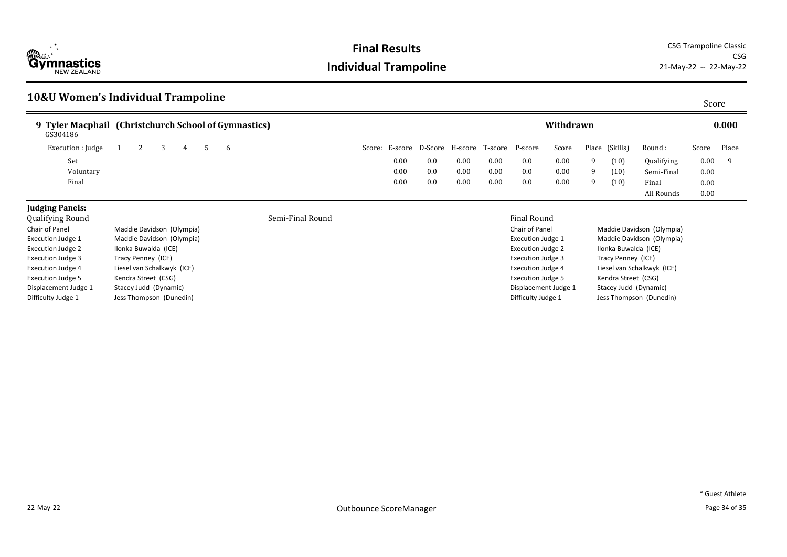

**Final Results** CSG Trampoline Classic CSG<br>21-May-22 -- 22-May-22

#### **10&U Women's Individual Trampoline** Score **9 Tyler Macphail (Christchurch School of Gymnastics) Withdrawn 0.000** Round : Qualifying Semi-Final Final All Rounds Score Place 0.00 9 0.00 0.00 GS304186 0.00 Execution : Judge 1 2 3 4 5 6 Score: E-score D-Score: H-score H-score P-score Score Place (Skills) Set 0.00 0.0 0.00 0.00 0.0 0.00 9 (10) Voluntary 0.00 0.0 0.00 0.00 0.0 0.00 9 (10) Final 0.00 0.0 0.00 0.00 0.0 0.00 9 (10) **Judging Panels:** Qualifying Round Semi-Final Round Final Round Chair of Panel Maddie Davidson (Olympia) Execution Judge 1 Maddie Davidson (Olympia) Chair of Panel Maddie Davidson (Olympia) Execution Judge 1 Maddie Davidson (Olympia)

Execution Judge 2 Ilonka Buwalda (ICE) Execution Judge 3 Tracy Penney (ICE) Execution Judge 4 Liesel van Schalkwyk (ICE) Execution Judge 5 Kendra Street (CSG) Displacement Judge 1 Stacey Judd (Dynamic) Difficulty Judge 1 Jess Thompson (Dunedin)

| Maddie Davidson (Olympi    |
|----------------------------|
| Maddie Davidson (Olympi    |
| Ilonka Buwalda (ICE)       |
| Tracy Penney (ICE)         |
| Liesel van Schalkwyk (ICE) |
| Kendra Street (CSG)        |
| Stacey Judd (Dynamic)      |
| Jess Thompson (Dunedin)    |
|                            |